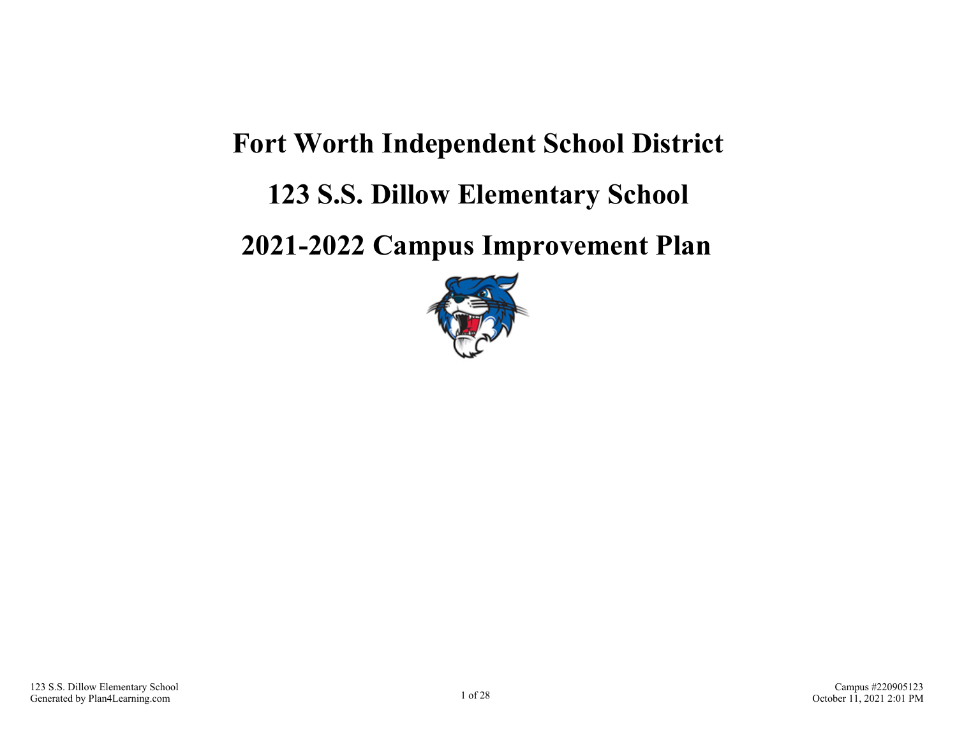# **Fort Worth Independent School District**

# **123 S.S. Dillow Elementary School**

## **2021-2022 Campus Improvement Plan**

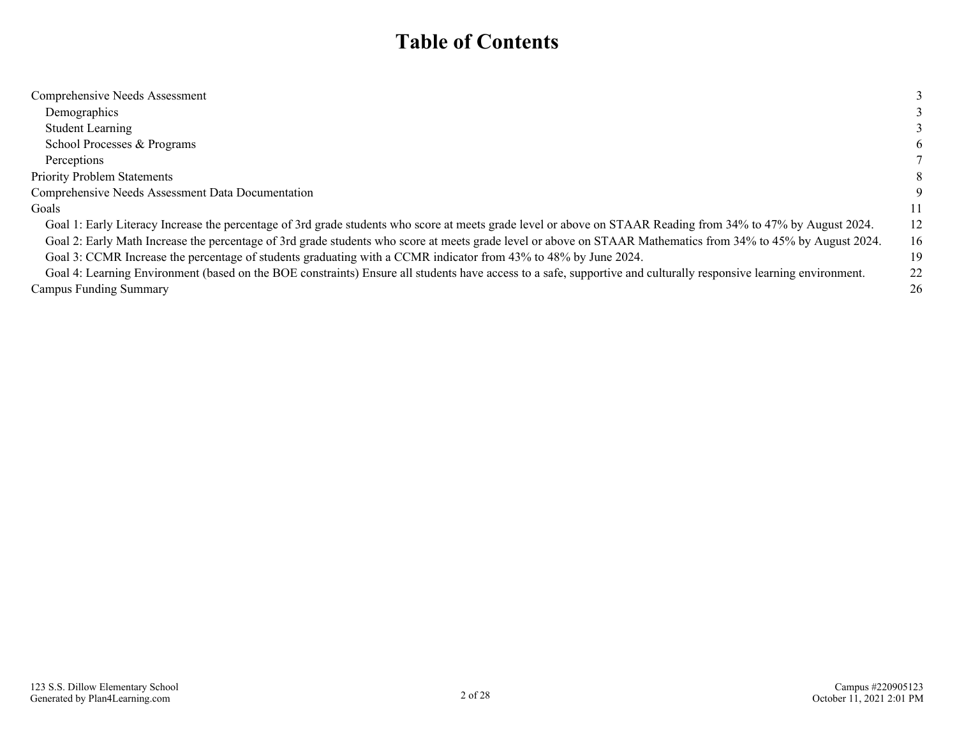### **Table of Contents**

| Comprehensive Needs Assessment                                                                                                                                    |    |
|-------------------------------------------------------------------------------------------------------------------------------------------------------------------|----|
| Demographics                                                                                                                                                      |    |
| <b>Student Learning</b>                                                                                                                                           |    |
| School Processes & Programs                                                                                                                                       | 6  |
| Perceptions                                                                                                                                                       |    |
| <b>Priority Problem Statements</b>                                                                                                                                | 8  |
| Comprehensive Needs Assessment Data Documentation                                                                                                                 |    |
| Goals                                                                                                                                                             | 11 |
| Goal 1: Early Literacy Increase the percentage of 3rd grade students who score at meets grade level or above on STAAR Reading from 34% to 47% by August 2024.     | 12 |
| Goal 2: Early Math Increase the percentage of 3rd grade students who score at meets grade level or above on STAAR Mathematics from 34% to 45% by August 2024.     | 16 |
| Goal 3: CCMR Increase the percentage of students graduating with a CCMR indicator from 43% to 48% by June 2024.                                                   | 19 |
| Goal 4: Learning Environment (based on the BOE constraints) Ensure all students have access to a safe, supportive and culturally responsive learning environment. | 22 |
| <b>Campus Funding Summary</b>                                                                                                                                     | 26 |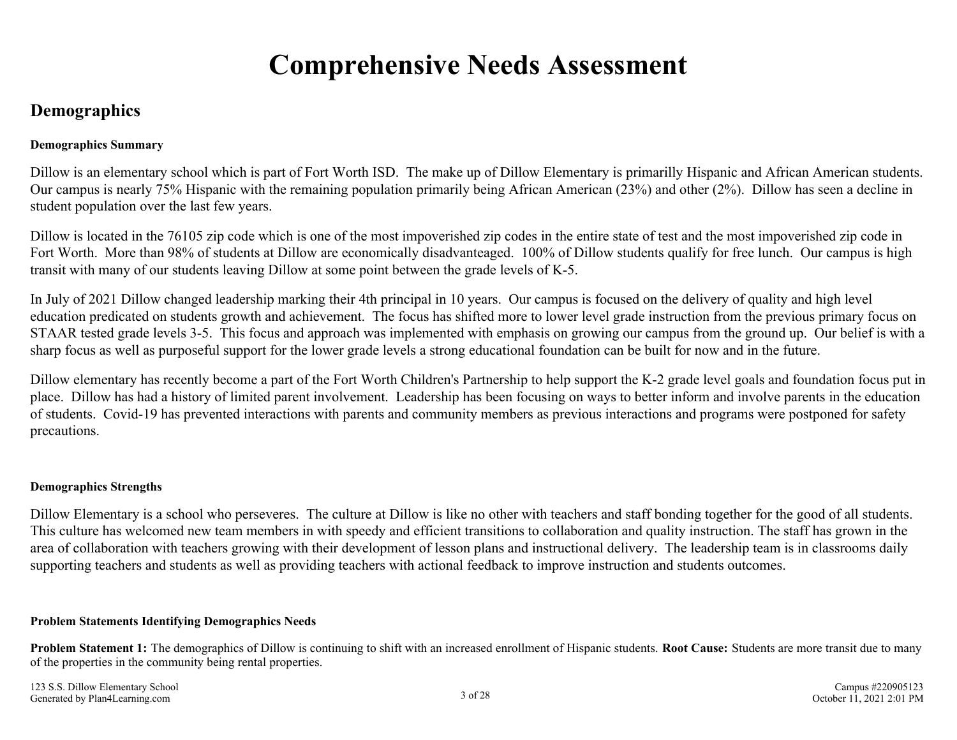## **Comprehensive Needs Assessment**

### <span id="page-2-0"></span>**Demographics**

#### **Demographics Summary**

Dillow is an elementary school which is part of Fort Worth ISD. The make up of Dillow Elementary is primarilly Hispanic and African American students. Our campus is nearly 75% Hispanic with the remaining population primarily being African American (23%) and other (2%). Dillow has seen a decline in student population over the last few years.

Dillow is located in the 76105 zip code which is one of the most impoverished zip codes in the entire state of test and the most impoverished zip code in Fort Worth. More than 98% of students at Dillow are economically disadvanteaged. 100% of Dillow students qualify for free lunch. Our campus is high transit with many of our students leaving Dillow at some point between the grade levels of K-5.

In July of 2021 Dillow changed leadership marking their 4th principal in 10 years. Our campus is focused on the delivery of quality and high level education predicated on students growth and achievement. The focus has shifted more to lower level grade instruction from the previous primary focus on STAAR tested grade levels 3-5. This focus and approach was implemented with emphasis on growing our campus from the ground up. Our belief is with a sharp focus as well as purposeful support for the lower grade levels a strong educational foundation can be built for now and in the future.

Dillow elementary has recently become a part of the Fort Worth Children's Partnership to help support the K-2 grade level goals and foundation focus put in place. Dillow has had a history of limited parent involvement. Leadership has been focusing on ways to better inform and involve parents in the education of students. Covid-19 has prevented interactions with parents and community members as previous interactions and programs were postponed for safety precautions.

#### **Demographics Strengths**

Dillow Elementary is a school who perseveres. The culture at Dillow is like no other with teachers and staff bonding together for the good of all students. This culture has welcomed new team members in with speedy and efficient transitions to collaboration and quality instruction. The staff has grown in the area of collaboration with teachers growing with their development of lesson plans and instructional delivery. The leadership team is in classrooms daily supporting teachers and students as well as providing teachers with actional feedback to improve instruction and students outcomes.

#### **Problem Statements Identifying Demographics Needs**

**Problem Statement 1:** The demographics of Dillow is continuing to shift with an increased enrollment of Hispanic students. **Root Cause:** Students are more transit due to many of the properties in the community being rental properties.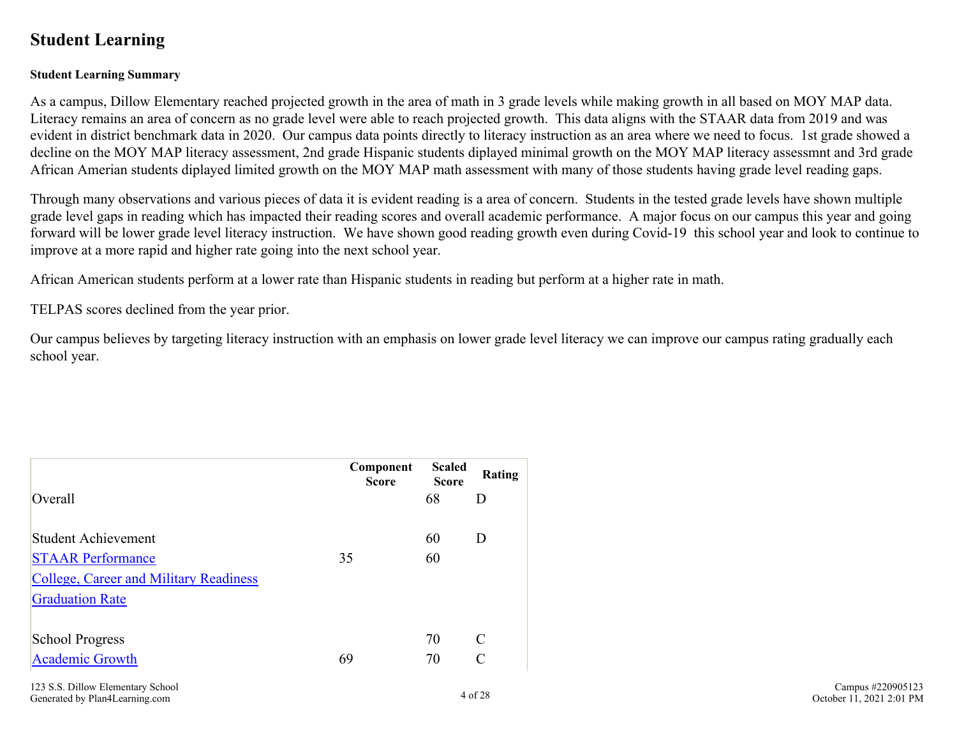### <span id="page-3-0"></span>**Student Learning**

#### **Student Learning Summary**

As a campus, Dillow Elementary reached projected growth in the area of math in 3 grade levels while making growth in all based on MOY MAP data. Literacy remains an area of concern as no grade level were able to reach projected growth. This data aligns with the STAAR data from 2019 and was evident in district benchmark data in 2020. Our campus data points directly to literacy instruction as an area where we need to focus. 1st grade showed a decline on the MOY MAP literacy assessment, 2nd grade Hispanic students diplayed minimal growth on the MOY MAP literacy assessmnt and 3rd grade African Amerian students diplayed limited growth on the MOY MAP math assessment with many of those students having grade level reading gaps.

Through many observations and various pieces of data it is evident reading is a area of concern. Students in the tested grade levels have shown multiple grade level gaps in reading which has impacted their reading scores and overall academic performance. A major focus on our campus this year and going forward will be lower grade level literacy instruction. We have shown good reading growth even during Covid-19 this school year and look to continue to improve at a more rapid and higher rate going into the next school year.

African American students perform at a lower rate than Hispanic students in reading but perform at a higher rate in math.

TELPAS scores declined from the year prior.

Our campus believes by targeting literacy instruction with an emphasis on lower grade level literacy we can improve our campus rating gradually each school year.

|                                               | Component<br><b>Score</b> | <b>Scaled</b><br><b>Score</b> | Rating        |
|-----------------------------------------------|---------------------------|-------------------------------|---------------|
| Overall                                       |                           | 68                            | D             |
| <b>Student Achievement</b>                    |                           | 60                            | D             |
| <b>STAAR Performance</b>                      | 35                        | 60                            |               |
| <b>College, Career and Military Readiness</b> |                           |                               |               |
| <b>Graduation Rate</b>                        |                           |                               |               |
| <b>School Progress</b>                        |                           | 70                            | $\mathcal{C}$ |
| <b>Academic Growth</b>                        | 69                        | 70                            | $\mathcal{C}$ |
| 123 C.C. Dillow Flamentory School             |                           |                               |               |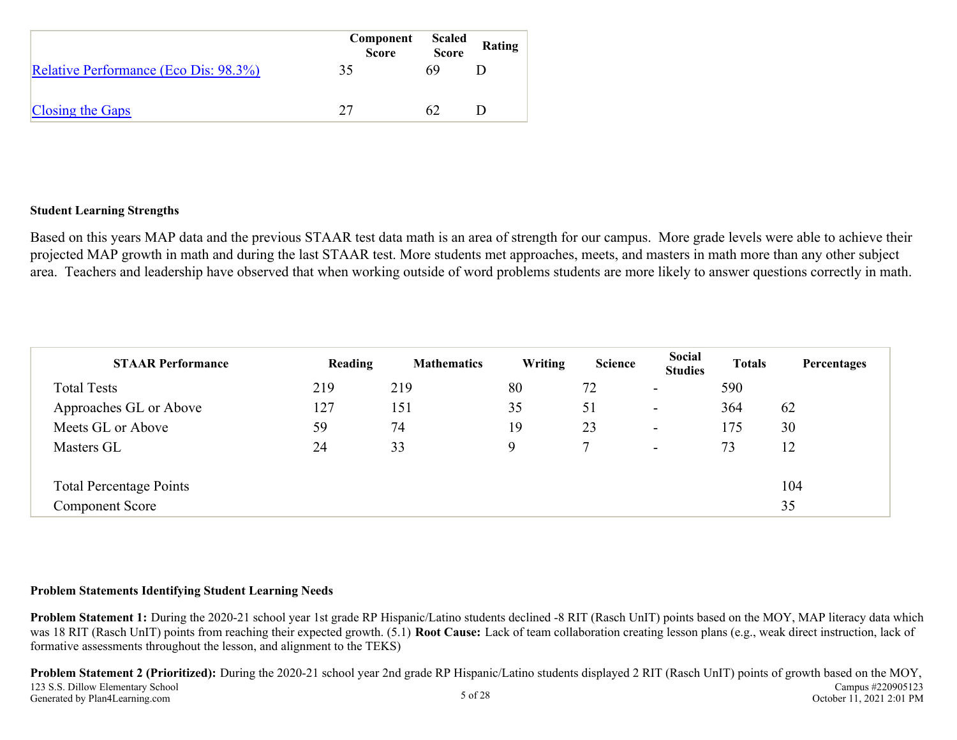|                                       | Component<br>Score | <b>Scaled</b><br><b>Score</b> | Rating |
|---------------------------------------|--------------------|-------------------------------|--------|
| Relative Performance (Eco Dis: 98.3%) | 35                 | 69                            |        |
| Closing the Gaps                      | 27                 | 62                            |        |

#### **Student Learning Strengths**

Based on this years MAP data and the previous STAAR test data math is an area of strength for our campus. More grade levels were able to achieve their projected MAP growth in math and during the last STAAR test. More students met approaches, meets, and masters in math more than any other subject area. Teachers and leadership have observed that when working outside of word problems students are more likely to answer questions correctly in math.

| <b>STAAR Performance</b>       | Reading | <b>Mathematics</b> | Writing | <b>Science</b> | Social<br><b>Studies</b> | <b>Totals</b> | Percentages |
|--------------------------------|---------|--------------------|---------|----------------|--------------------------|---------------|-------------|
| <b>Total Tests</b>             | 219     | 219                | 80      | 72             | $\overline{\phantom{a}}$ | 590           |             |
| Approaches GL or Above         | 127     | 151                | 35      | 51             | $\overline{\phantom{a}}$ | 364           | 62          |
| Meets GL or Above              | 59      | 74                 | 19      | 23             | $\overline{\phantom{a}}$ | 175           | 30          |
| Masters GL                     | 24      | 33                 | Q       |                | $\overline{\phantom{0}}$ | 73            | 12          |
| <b>Total Percentage Points</b> |         |                    |         |                |                          |               | 104         |
| <b>Component Score</b>         |         |                    |         |                |                          |               | 35          |

#### **Problem Statements Identifying Student Learning Needs**

**Problem Statement 1:** During the 2020-21 school year 1st grade RP Hispanic/Latino students declined -8 RIT (Rasch UnIT) points based on the MOY, MAP literacy data which was 18 RIT (Rasch UnIT) points from reaching their expected growth. (5.1) **Root Cause:** Lack of team collaboration creating lesson plans (e.g., weak direct instruction, lack of formative assessments throughout the lesson, and alignment to the TEKS)

**Problem Statement 2 (Prioritized):** During the 2020-21 school year 2nd grade RP Hispanic/Latino students displayed 2 RIT (Rasch UnIT) points of growth based on the MOY, 123 S.S. Dillow Elementary School Generated by Plan4Learning.com 5 of 28 Campus #220905123 October 11, 2021 2:01 PM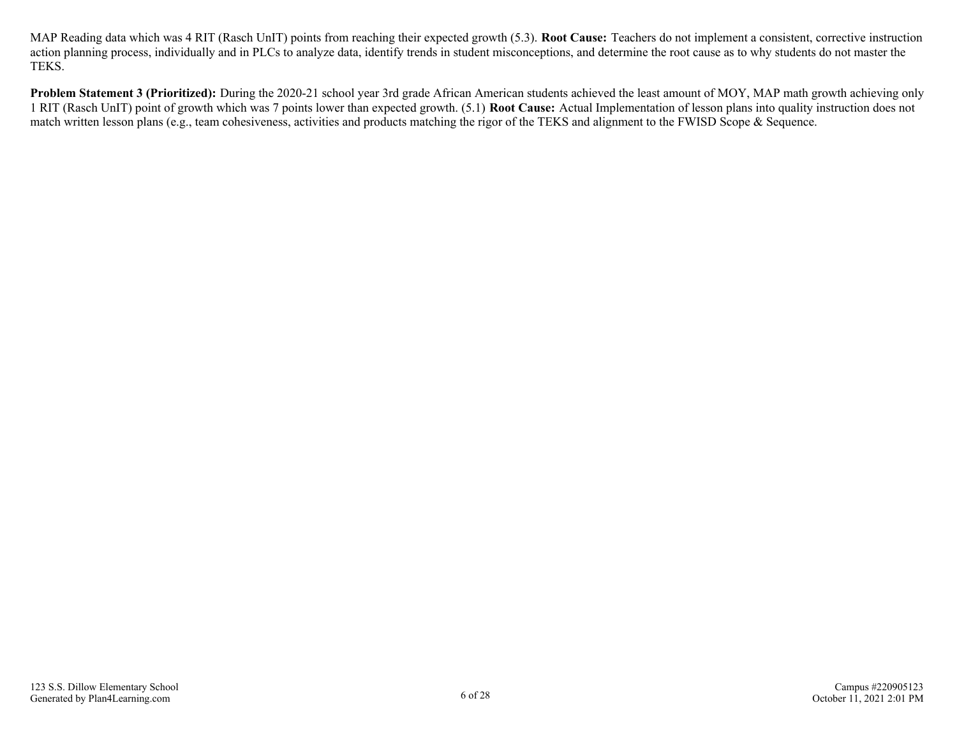MAP Reading data which was 4 RIT (Rasch UnIT) points from reaching their expected growth (5.3). **Root Cause:** Teachers do not implement a consistent, corrective instruction action planning process, individually and in PLCs to analyze data, identify trends in student misconceptions, and determine the root cause as to why students do not master the TEKS.

**Problem Statement 3 (Prioritized):** During the 2020-21 school year 3rd grade African American students achieved the least amount of MOY, MAP math growth achieving only 1 RIT (Rasch UnIT) point of growth which was 7 points lower than expected growth. (5.1) **Root Cause:** Actual Implementation of lesson plans into quality instruction does not match written lesson plans (e.g., team cohesiveness, activities and products matching the rigor of the TEKS and alignment to the FWISD Scope & Sequence.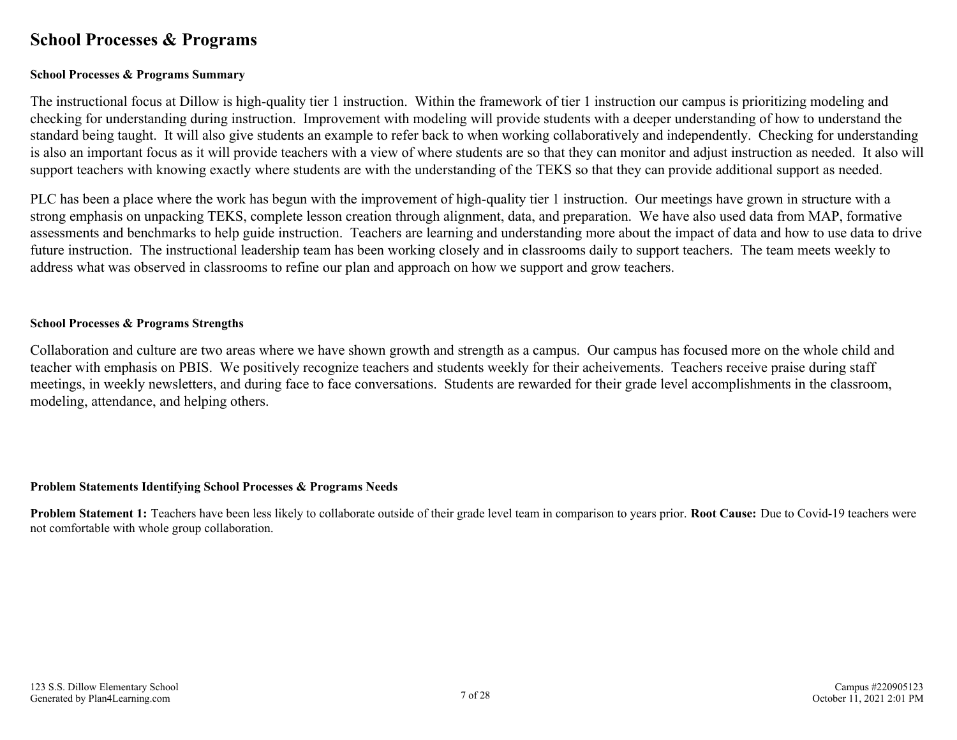### <span id="page-6-0"></span>**School Processes & Programs**

#### **School Processes & Programs Summary**

The instructional focus at Dillow is high-quality tier 1 instruction. Within the framework of tier 1 instruction our campus is prioritizing modeling and checking for understanding during instruction. Improvement with modeling will provide students with a deeper understanding of how to understand the standard being taught. It will also give students an example to refer back to when working collaboratively and independently. Checking for understanding is also an important focus as it will provide teachers with a view of where students are so that they can monitor and adjust instruction as needed. It also will support teachers with knowing exactly where students are with the understanding of the TEKS so that they can provide additional support as needed.

PLC has been a place where the work has begun with the improvement of high-quality tier 1 instruction. Our meetings have grown in structure with a strong emphasis on unpacking TEKS, complete lesson creation through alignment, data, and preparation. We have also used data from MAP, formative assessments and benchmarks to help guide instruction. Teachers are learning and understanding more about the impact of data and how to use data to drive future instruction. The instructional leadership team has been working closely and in classrooms daily to support teachers. The team meets weekly to address what was observed in classrooms to refine our plan and approach on how we support and grow teachers.

#### **School Processes & Programs Strengths**

Collaboration and culture are two areas where we have shown growth and strength as a campus. Our campus has focused more on the whole child and teacher with emphasis on PBIS. We positively recognize teachers and students weekly for their acheivements. Teachers receive praise during staff meetings, in weekly newsletters, and during face to face conversations. Students are rewarded for their grade level accomplishments in the classroom, modeling, attendance, and helping others.

#### **Problem Statements Identifying School Processes & Programs Needs**

**Problem Statement 1:** Teachers have been less likely to collaborate outside of their grade level team in comparison to years prior. **Root Cause:** Due to Covid-19 teachers were not comfortable with whole group collaboration.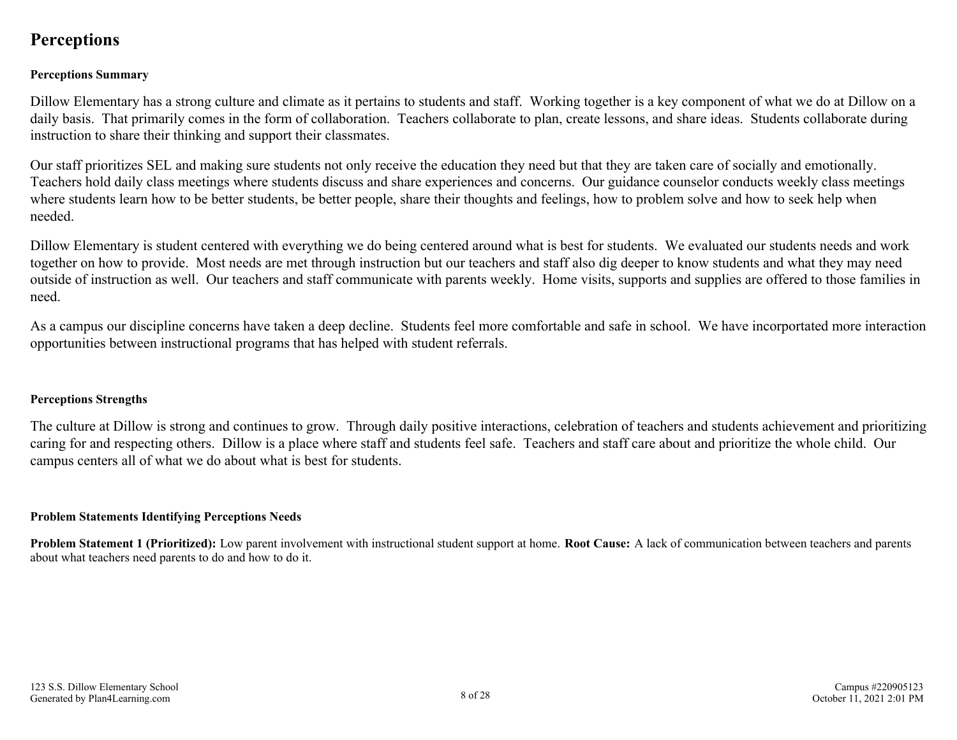### <span id="page-7-0"></span>**Perceptions**

#### **Perceptions Summary**

Dillow Elementary has a strong culture and climate as it pertains to students and staff. Working together is a key component of what we do at Dillow on a daily basis. That primarily comes in the form of collaboration. Teachers collaborate to plan, create lessons, and share ideas. Students collaborate during instruction to share their thinking and support their classmates.

Our staff prioritizes SEL and making sure students not only receive the education they need but that they are taken care of socially and emotionally. Teachers hold daily class meetings where students discuss and share experiences and concerns. Our guidance counselor conducts weekly class meetings where students learn how to be better students, be better people, share their thoughts and feelings, how to problem solve and how to seek help when needed.

Dillow Elementary is student centered with everything we do being centered around what is best for students. We evaluated our students needs and work together on how to provide. Most needs are met through instruction but our teachers and staff also dig deeper to know students and what they may need outside of instruction as well. Our teachers and staff communicate with parents weekly. Home visits, supports and supplies are offered to those families in need.

As a campus our discipline concerns have taken a deep decline. Students feel more comfortable and safe in school. We have incorportated more interaction opportunities between instructional programs that has helped with student referrals.

#### **Perceptions Strengths**

The culture at Dillow is strong and continues to grow. Through daily positive interactions, celebration of teachers and students achievement and prioritizing caring for and respecting others. Dillow is a place where staff and students feel safe. Teachers and staff care about and prioritize the whole child. Our campus centers all of what we do about what is best for students.

#### **Problem Statements Identifying Perceptions Needs**

**Problem Statement 1 (Prioritized):** Low parent involvement with instructional student support at home. **Root Cause:** A lack of communication between teachers and parents about what teachers need parents to do and how to do it.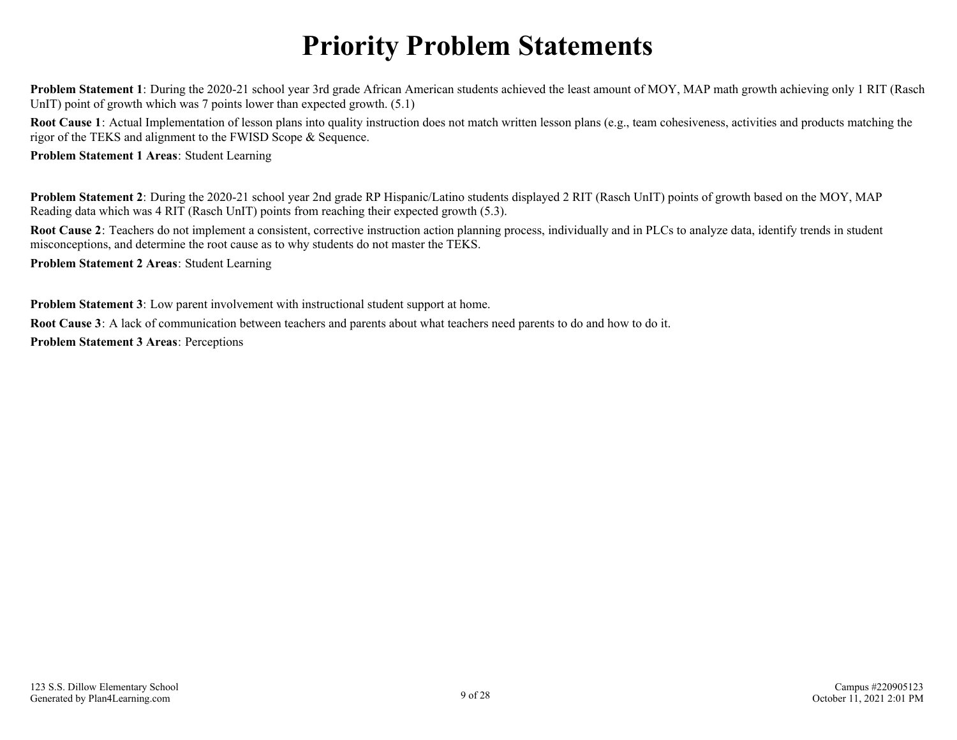# **Priority Problem Statements**

<span id="page-8-0"></span>**Problem Statement 1**: During the 2020-21 school year 3rd grade African American students achieved the least amount of MOY, MAP math growth achieving only 1 RIT (Rasch UnIT) point of growth which was 7 points lower than expected growth.  $(5.1)$ 

**Root Cause 1**: Actual Implementation of lesson plans into quality instruction does not match written lesson plans (e.g., team cohesiveness, activities and products matching the rigor of the TEKS and alignment to the FWISD Scope & Sequence.

**Problem Statement 1 Areas**: Student Learning

**Problem Statement 2**: During the 2020-21 school year 2nd grade RP Hispanic/Latino students displayed 2 RIT (Rasch UnIT) points of growth based on the MOY, MAP Reading data which was 4 RIT (Rasch UnIT) points from reaching their expected growth (5.3).

**Root Cause 2**: Teachers do not implement a consistent, corrective instruction action planning process, individually and in PLCs to analyze data, identify trends in student misconceptions, and determine the root cause as to why students do not master the TEKS.

**Problem Statement 2 Areas**: Student Learning

**Problem Statement 3**: Low parent involvement with instructional student support at home.

**Root Cause 3**: A lack of communication between teachers and parents about what teachers need parents to do and how to do it.

**Problem Statement 3 Areas**: Perceptions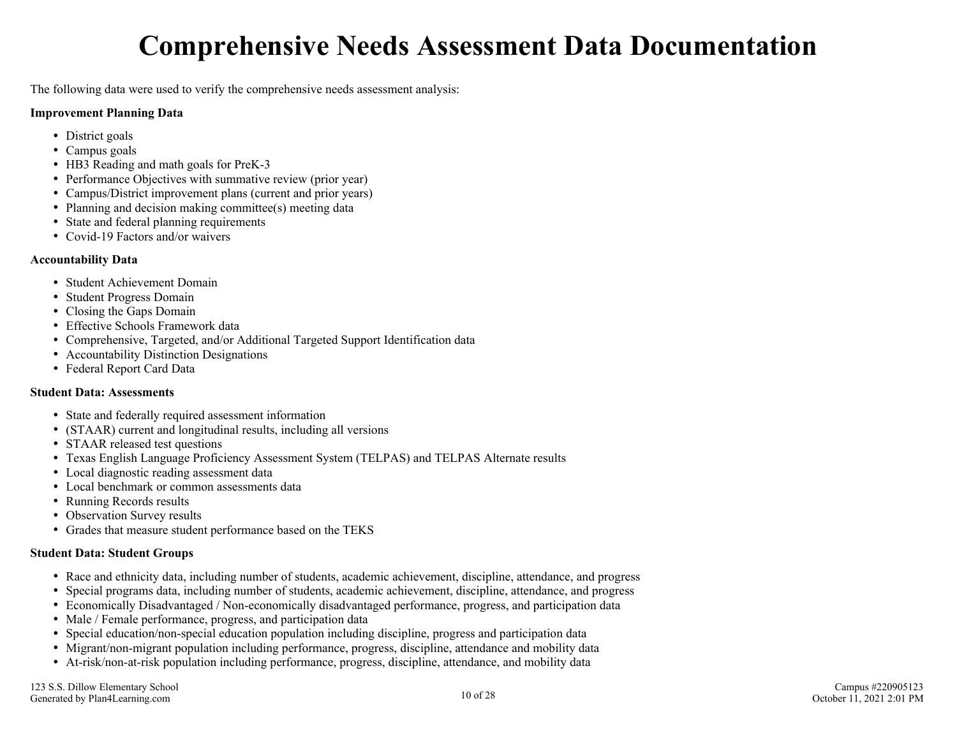# **Comprehensive Needs Assessment Data Documentation**

<span id="page-9-0"></span>The following data were used to verify the comprehensive needs assessment analysis:

#### **Improvement Planning Data**

- District goals
- Campus goals
- HB3 Reading and math goals for PreK-3
- Performance Objectives with summative review (prior year)
- Campus/District improvement plans (current and prior years)
- Planning and decision making committee(s) meeting data
- State and federal planning requirements
- Covid-19 Factors and/or waivers

#### **Accountability Data**

- Student Achievement Domain
- Student Progress Domain
- Closing the Gaps Domain
- Effective Schools Framework data
- Comprehensive, Targeted, and/or Additional Targeted Support Identification data
- Accountability Distinction Designations
- Federal Report Card Data

#### **Student Data: Assessments**

- State and federally required assessment information
- (STAAR) current and longitudinal results, including all versions
- STAAR released test questions
- Texas English Language Proficiency Assessment System (TELPAS) and TELPAS Alternate results
- Local diagnostic reading assessment data
- Local benchmark or common assessments data
- Running Records results
- Observation Survey results
- Grades that measure student performance based on the TEKS

#### **Student Data: Student Groups**

- Race and ethnicity data, including number of students, academic achievement, discipline, attendance, and progress
- Special programs data, including number of students, academic achievement, discipline, attendance, and progress
- Economically Disadvantaged / Non-economically disadvantaged performance, progress, and participation data
- Male / Female performance, progress, and participation data
- Special education/non-special education population including discipline, progress and participation data
- Migrant/non-migrant population including performance, progress, discipline, attendance and mobility data
- At-risk/non-at-risk population including performance, progress, discipline, attendance, and mobility data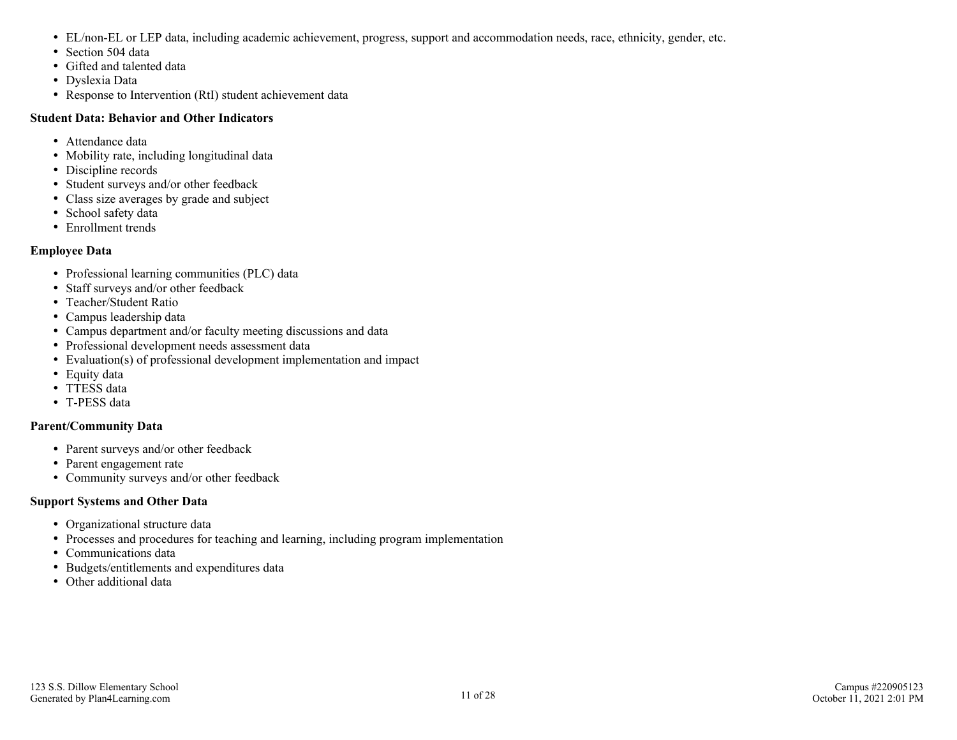- EL/non-EL or LEP data, including academic achievement, progress, support and accommodation needs, race, ethnicity, gender, etc.
- Section 504 data
- Gifted and talented data
- Dyslexia Data
- Response to Intervention (RtI) student achievement data

#### **Student Data: Behavior and Other Indicators**

- Attendance data
- Mobility rate, including longitudinal data
- Discipline records
- Student surveys and/or other feedback
- Class size averages by grade and subject
- School safety data
- Enrollment trends

#### **Employee Data**

- Professional learning communities (PLC) data
- Staff surveys and/or other feedback
- Teacher/Student Ratio
- Campus leadership data
- Campus department and/or faculty meeting discussions and data
- Professional development needs assessment data
- Evaluation(s) of professional development implementation and impact
- Equity data
- TTESS data
- T-PESS data

#### **Parent/Community Data**

- Parent surveys and/or other feedback
- Parent engagement rate
- Community surveys and/or other feedback

#### **Support Systems and Other Data**

- Organizational structure data
- Processes and procedures for teaching and learning, including program implementation
- Communications data
- Budgets/entitlements and expenditures data
- Other additional data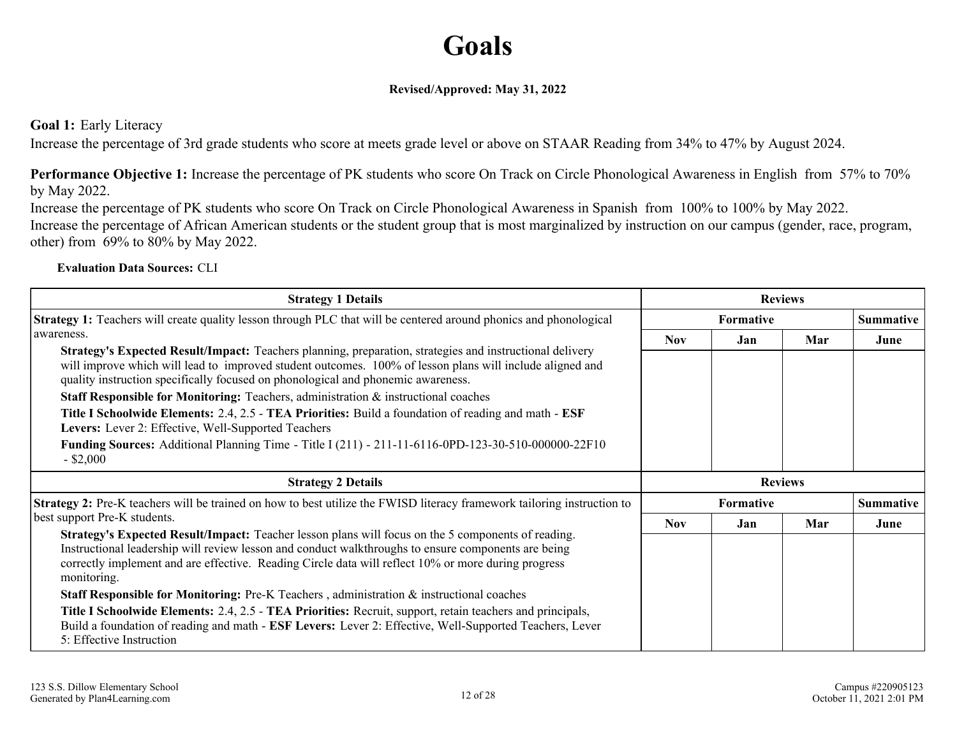## **Goals**

#### **Revised/Approved: May 31, 2022**

#### <span id="page-11-0"></span>**Goal 1:** Early Literacy

Increase the percentage of 3rd grade students who score at meets grade level or above on STAAR Reading from 34% to 47% by August 2024.

**Performance Objective 1:** Increase the percentage of PK students who score On Track on Circle Phonological Awareness in English from 57% to 70% by May 2022.

Increase the percentage of PK students who score On Track on Circle Phonological Awareness in Spanish from 100% to 100% by May 2022. Increase the percentage of African American students or the student group that is most marginalized by instruction on our campus (gender, race, program, other) from 69% to 80% by May 2022.

#### **Evaluation Data Sources:** CLI

| <b>Strategy 1 Details</b>                                                                                                                                                                                                                                                                                                                                                                                                                                                                                                                                                                                                                                                                                                |            |                  | <b>Reviews</b> |                  |
|--------------------------------------------------------------------------------------------------------------------------------------------------------------------------------------------------------------------------------------------------------------------------------------------------------------------------------------------------------------------------------------------------------------------------------------------------------------------------------------------------------------------------------------------------------------------------------------------------------------------------------------------------------------------------------------------------------------------------|------------|------------------|----------------|------------------|
| <b>Strategy 1:</b> Teachers will create quality lesson through PLC that will be centered around phonics and phonological                                                                                                                                                                                                                                                                                                                                                                                                                                                                                                                                                                                                 |            | <b>Formative</b> |                | <b>Summative</b> |
| l awareness.<br><b>Strategy's Expected Result/Impact:</b> Teachers planning, preparation, strategies and instructional delivery<br>will improve which will lead to improved student outcomes. 100% of lesson plans will include aligned and<br>quality instruction specifically focused on phonological and phonemic awareness.<br><b>Staff Responsible for Monitoring:</b> Teachers, administration & instructional coaches<br>Title I Schoolwide Elements: 2.4, 2.5 - TEA Priorities: Build a foundation of reading and math - ESF<br>Levers: Lever 2: Effective, Well-Supported Teachers<br><b>Funding Sources:</b> Additional Planning Time - Title I (211) - 211-11-6116-0PD-123-30-510-000000-22F10<br>$-$ \$2,000 | <b>Nov</b> | Jan.             | Mar            | June             |
|                                                                                                                                                                                                                                                                                                                                                                                                                                                                                                                                                                                                                                                                                                                          |            |                  |                |                  |
| <b>Strategy 2 Details</b>                                                                                                                                                                                                                                                                                                                                                                                                                                                                                                                                                                                                                                                                                                |            |                  | <b>Reviews</b> |                  |
| <b>Strategy 2:</b> Pre-K teachers will be trained on how to best utilize the FWISD literacy framework tailoring instruction to                                                                                                                                                                                                                                                                                                                                                                                                                                                                                                                                                                                           |            | <b>Formative</b> |                | <b>Summative</b> |
| best support Pre-K students.                                                                                                                                                                                                                                                                                                                                                                                                                                                                                                                                                                                                                                                                                             | <b>Nov</b> | Jan              | Mar            | June             |
| <b>Strategy's Expected Result/Impact:</b> Teacher lesson plans will focus on the 5 components of reading.<br>Instructional leadership will review lesson and conduct walkthroughs to ensure components are being<br>correctly implement and are effective. Reading Circle data will reflect 10% or more during progress<br>monitoring.                                                                                                                                                                                                                                                                                                                                                                                   |            |                  |                |                  |
| <b>Staff Responsible for Monitoring:</b> Pre-K Teachers, administration $\&$ instructional coaches                                                                                                                                                                                                                                                                                                                                                                                                                                                                                                                                                                                                                       |            |                  |                |                  |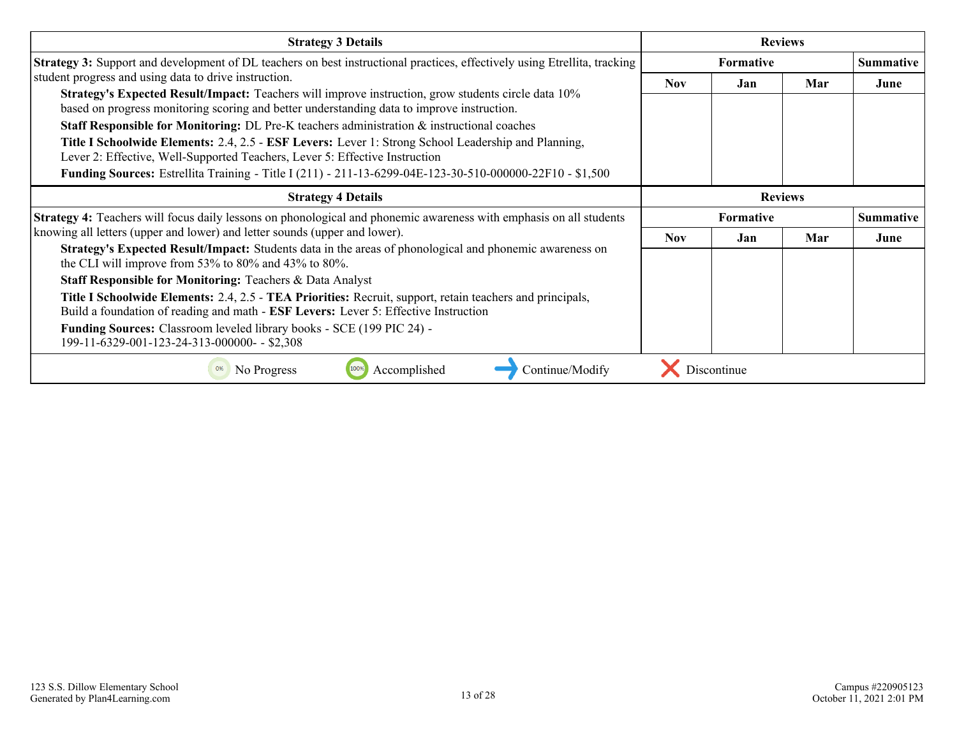| <b>Strategy 3 Details</b>                                                                                                                                                                                                                                                                                                                                                                                                                                                                                                                                                                                                                                         |            |                  | <b>Reviews</b> |                  |
|-------------------------------------------------------------------------------------------------------------------------------------------------------------------------------------------------------------------------------------------------------------------------------------------------------------------------------------------------------------------------------------------------------------------------------------------------------------------------------------------------------------------------------------------------------------------------------------------------------------------------------------------------------------------|------------|------------------|----------------|------------------|
| <b>Strategy 3:</b> Support and development of DL teachers on best instructional practices, effectively using Etrellita, tracking                                                                                                                                                                                                                                                                                                                                                                                                                                                                                                                                  |            | <b>Formative</b> |                | <b>Summative</b> |
| student progress and using data to drive instruction.<br>Strategy's Expected Result/Impact: Teachers will improve instruction, grow students circle data 10%<br>based on progress monitoring scoring and better understanding data to improve instruction.<br><b>Staff Responsible for Monitoring:</b> DL Pre-K teachers administration & instructional coaches<br>Title I Schoolwide Elements: 2.4, 2.5 - ESF Levers: Lever 1: Strong School Leadership and Planning,<br>Lever 2: Effective, Well-Supported Teachers, Lever 5: Effective Instruction<br>Funding Sources: Estrellita Training - Title I (211) - 211-13-6299-04E-123-30-510-000000-22F10 - \$1,500 | <b>Nov</b> | Jan              | Mar            | June             |
| <b>Strategy 4 Details</b>                                                                                                                                                                                                                                                                                                                                                                                                                                                                                                                                                                                                                                         |            |                  | <b>Reviews</b> |                  |
| <b>Strategy 4:</b> Teachers will focus daily lessons on phonological and phonemic awareness with emphasis on all students                                                                                                                                                                                                                                                                                                                                                                                                                                                                                                                                         |            | <b>Formative</b> |                | <b>Summative</b> |
| knowing all letters (upper and lower) and letter sounds (upper and lower).                                                                                                                                                                                                                                                                                                                                                                                                                                                                                                                                                                                        | Nov.       | Jan              | Mar            | June             |
| <b>Strategy's Expected Result/Impact:</b> Students data in the areas of phonological and phonemic awareness on<br>the CLI will improve from 53% to 80% and 43% to 80%.                                                                                                                                                                                                                                                                                                                                                                                                                                                                                            |            |                  |                |                  |
| <b>Staff Responsible for Monitoring: Teachers &amp; Data Analyst</b>                                                                                                                                                                                                                                                                                                                                                                                                                                                                                                                                                                                              |            |                  |                |                  |
| Title I Schoolwide Elements: 2.4, 2.5 - TEA Priorities: Recruit, support, retain teachers and principals,<br>Build a foundation of reading and math - ESF Levers: Lever 5: Effective Instruction                                                                                                                                                                                                                                                                                                                                                                                                                                                                  |            |                  |                |                  |
| <b>Funding Sources:</b> Classroom leveled library books - SCE (199 PIC 24) -<br>199-11-6329-001-123-24-313-000000- - \$2,308                                                                                                                                                                                                                                                                                                                                                                                                                                                                                                                                      |            |                  |                |                  |
| Accomplished<br>Continue/Modify<br>No Progress<br>0%                                                                                                                                                                                                                                                                                                                                                                                                                                                                                                                                                                                                              |            | Discontinue      |                |                  |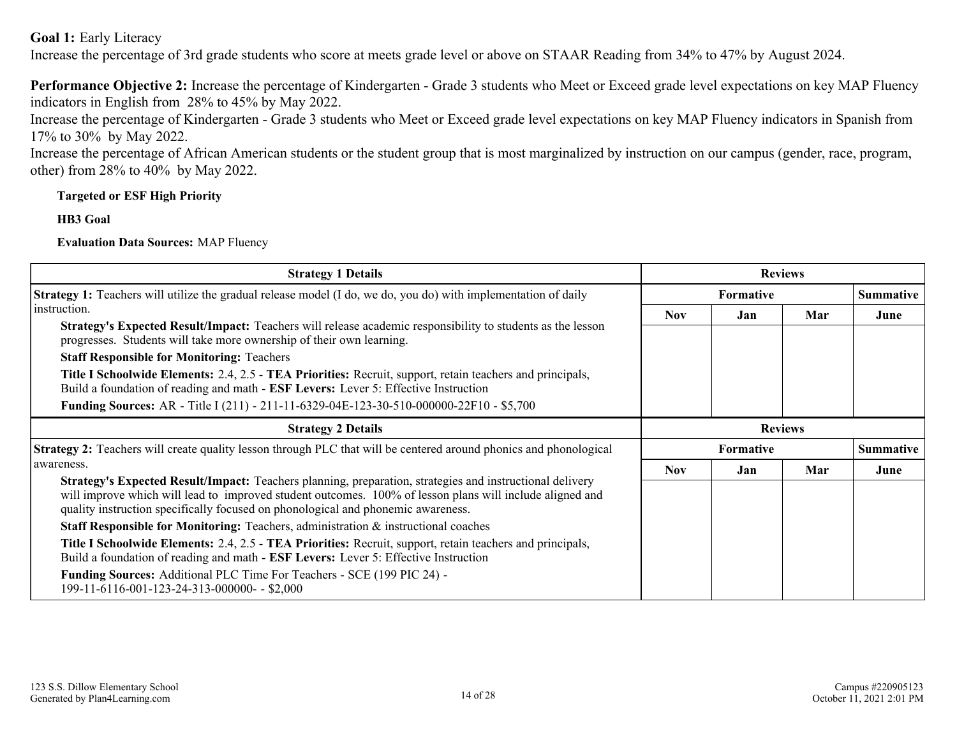**Goal 1:** Early Literacy

Increase the percentage of 3rd grade students who score at meets grade level or above on STAAR Reading from 34% to 47% by August 2024.

**Performance Objective 2:** Increase the percentage of Kindergarten - Grade 3 students who Meet or Exceed grade level expectations on key MAP Fluency indicators in English from 28% to 45% by May 2022.

Increase the percentage of Kindergarten - Grade 3 students who Meet or Exceed grade level expectations on key MAP Fluency indicators in Spanish from 17% to 30% by May 2022.

Increase the percentage of African American students or the student group that is most marginalized by instruction on our campus (gender, race, program, other) from 28% to 40% by May 2022.

#### **Targeted or ESF High Priority**

**HB3 Goal**

**Evaluation Data Sources:** MAP Fluency

| <b>Strategy 1 Details</b>                                                                                                                                                                                                                                                                                |            |                  | <b>Reviews</b> |                  |
|----------------------------------------------------------------------------------------------------------------------------------------------------------------------------------------------------------------------------------------------------------------------------------------------------------|------------|------------------|----------------|------------------|
| <b>Strategy 1:</b> Teachers will utilize the gradual release model (I do, we do, you do) with implementation of daily                                                                                                                                                                                    |            | <b>Formative</b> |                | <b>Summative</b> |
| instruction.                                                                                                                                                                                                                                                                                             | <b>Nov</b> | Jan              | Mar            | June             |
| <b>Strategy's Expected Result/Impact:</b> Teachers will release academic responsibility to students as the lesson<br>progresses. Students will take more ownership of their own learning.                                                                                                                |            |                  |                |                  |
| <b>Staff Responsible for Monitoring: Teachers</b>                                                                                                                                                                                                                                                        |            |                  |                |                  |
| <b>Title I Schoolwide Elements: 2.4, 2.5 - TEA Priorities: Recruit, support, retain teachers and principals,</b><br>Build a foundation of reading and math - ESF Levers: Lever 5: Effective Instruction                                                                                                  |            |                  |                |                  |
| <b>Funding Sources:</b> AR - Title I (211) - 211-11-6329-04E-123-30-510-000000-22F10 - \$5,700                                                                                                                                                                                                           |            |                  |                |                  |
| <b>Strategy 2 Details</b>                                                                                                                                                                                                                                                                                |            |                  | <b>Reviews</b> |                  |
| <b>Strategy 2:</b> Teachers will create quality lesson through PLC that will be centered around phonics and phonological                                                                                                                                                                                 |            | <b>Formative</b> |                | <b>Summative</b> |
| awareness.                                                                                                                                                                                                                                                                                               | <b>Nov</b> | Jan              | Mar            | June             |
| Strategy's Expected Result/Impact: Teachers planning, preparation, strategies and instructional delivery<br>will improve which will lead to improved student outcomes. 100% of lesson plans will include aligned and<br>quality instruction specifically focused on phonological and phonemic awareness. |            |                  |                |                  |
| <b>Staff Responsible for Monitoring:</b> Teachers, administration $\&$ instructional coaches                                                                                                                                                                                                             |            |                  |                |                  |
| Title I Schoolwide Elements: 2.4, 2.5 - TEA Priorities: Recruit, support, retain teachers and principals,<br>Build a foundation of reading and math - ESF Levers: Lever 5: Effective Instruction                                                                                                         |            |                  |                |                  |
| Funding Sources: Additional PLC Time For Teachers - SCE (199 PIC 24) -<br>199-11-6116-001-123-24-313-000000- - \$2,000                                                                                                                                                                                   |            |                  |                |                  |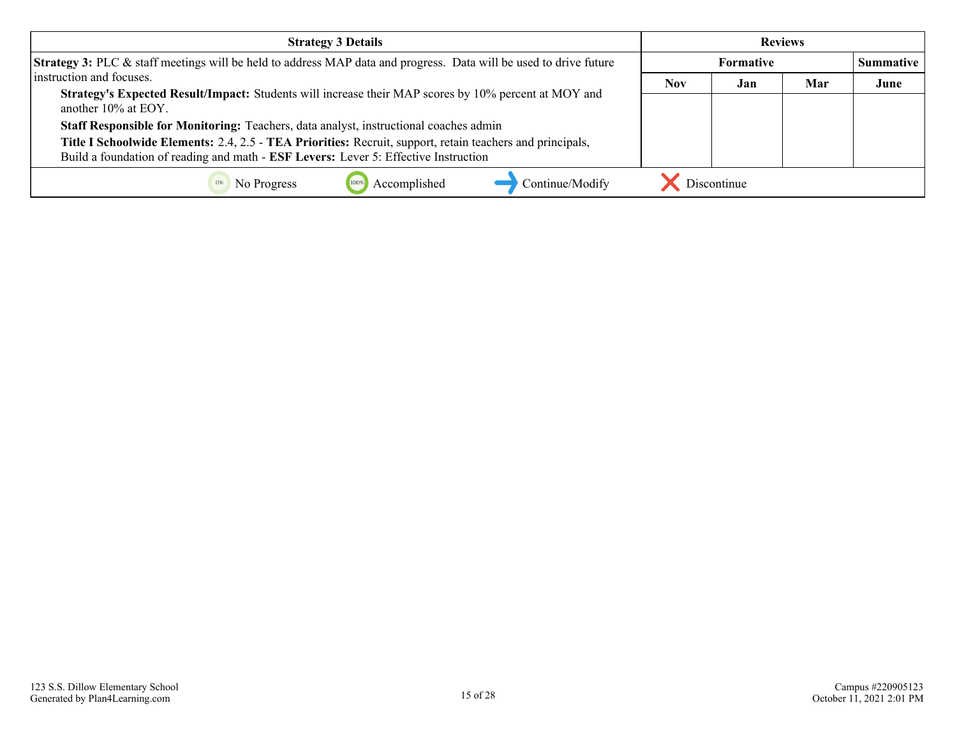| <b>Strategy 3 Details</b>                                                                                                   |            |             | <b>Reviews</b> |                  |
|-----------------------------------------------------------------------------------------------------------------------------|------------|-------------|----------------|------------------|
| Strategy 3: PLC & staff meetings will be held to address MAP data and progress. Data will be used to drive future           |            | Formative   |                | <b>Summative</b> |
| instruction and focuses.                                                                                                    | <b>Nov</b> | Jan         | Mar            | June             |
| Strategy's Expected Result/Impact: Students will increase their MAP scores by 10% percent at MOY and<br>another 10% at EOY. |            |             |                |                  |
| Staff Responsible for Monitoring: Teachers, data analyst, instructional coaches admin                                       |            |             |                |                  |
| Title I Schoolwide Elements: 2.4, 2.5 - TEA Priorities: Recruit, support, retain teachers and principals,                   |            |             |                |                  |
| Build a foundation of reading and math - ESF Levers: Lever 5: Effective Instruction                                         |            |             |                |                  |
| Accomplished<br>Continue/Modify<br>No Progress                                                                              |            | Discontinue |                |                  |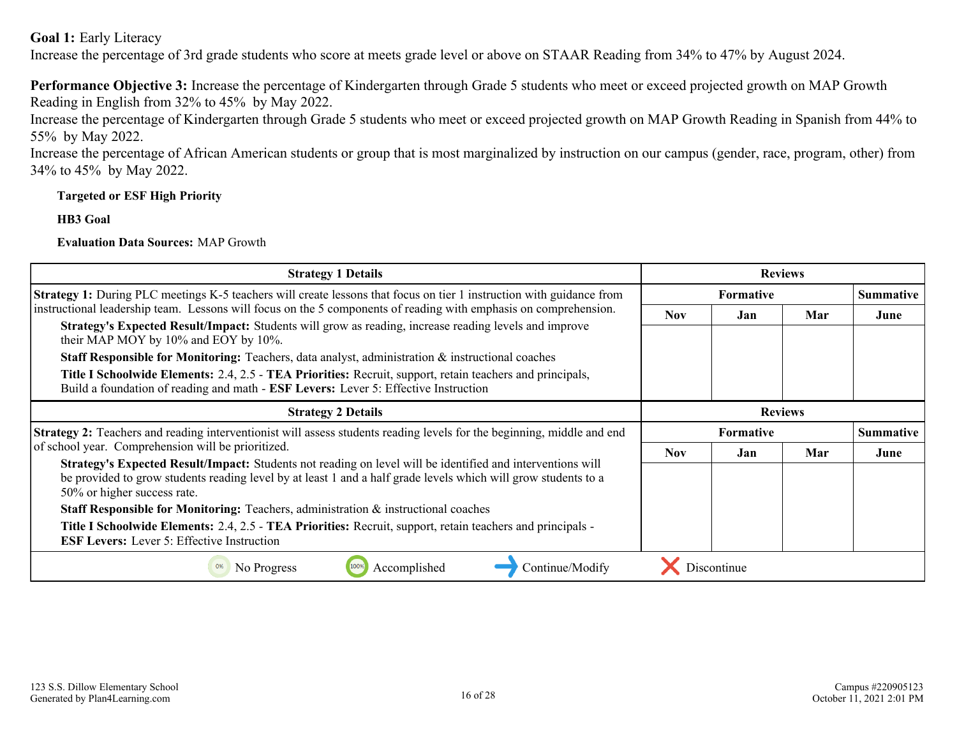**Goal 1:** Early Literacy

Increase the percentage of 3rd grade students who score at meets grade level or above on STAAR Reading from 34% to 47% by August 2024.

**Performance Objective 3:** Increase the percentage of Kindergarten through Grade 5 students who meet or exceed projected growth on MAP Growth Reading in English from 32% to 45% by May 2022.

Increase the percentage of Kindergarten through Grade 5 students who meet or exceed projected growth on MAP Growth Reading in Spanish from 44% to 55% by May 2022.

Increase the percentage of African American students or group that is most marginalized by instruction on our campus (gender, race, program, other) from 34% to 45% by May 2022.

#### **Targeted or ESF High Priority**

**HB3 Goal**

**Evaluation Data Sources:** MAP Growth

| <b>Strategy 1 Details</b>                                                                                                                                                                                                                                   |            |                  | <b>Reviews</b> |                  |
|-------------------------------------------------------------------------------------------------------------------------------------------------------------------------------------------------------------------------------------------------------------|------------|------------------|----------------|------------------|
| <b>Strategy 1:</b> During PLC meetings K-5 teachers will create lessons that focus on tier 1 instruction with guidance from                                                                                                                                 |            | <b>Formative</b> |                | <b>Summative</b> |
| instructional leadership team. Lessons will focus on the 5 components of reading with emphasis on comprehension.                                                                                                                                            | <b>Nov</b> | Jan              | Mar            | June             |
| Strategy's Expected Result/Impact: Students will grow as reading, increase reading levels and improve<br>their MAP MOY by 10% and EOY by 10%.                                                                                                               |            |                  |                |                  |
| <b>Staff Responsible for Monitoring:</b> Teachers, data analyst, administration $\&$ instructional coaches                                                                                                                                                  |            |                  |                |                  |
| Title I Schoolwide Elements: 2.4, 2.5 - TEA Priorities: Recruit, support, retain teachers and principals,<br>Build a foundation of reading and math - ESF Levers: Lever 5: Effective Instruction                                                            |            |                  |                |                  |
| <b>Strategy 2 Details</b>                                                                                                                                                                                                                                   |            |                  | <b>Reviews</b> |                  |
| Strategy 2: Teachers and reading interventionist will assess students reading levels for the beginning, middle and end                                                                                                                                      |            | <b>Formative</b> |                | <b>Summative</b> |
| of school year. Comprehension will be prioritized.                                                                                                                                                                                                          | <b>Nov</b> | Jan              | Mar            | June             |
| Strategy's Expected Result/Impact: Students not reading on level will be identified and interventions will<br>be provided to grow students reading level by at least 1 and a half grade levels which will grow students to a<br>50% or higher success rate. |            |                  |                |                  |
| <b>Staff Responsible for Monitoring:</b> Teachers, administration & instructional coaches                                                                                                                                                                   |            |                  |                |                  |
| <b>Title I Schoolwide Elements:</b> 2.4, 2.5 - TEA Priorities: Recruit, support, retain teachers and principals -<br><b>ESF Levers:</b> Lever 5: Effective Instruction                                                                                      |            |                  |                |                  |
| 100%<br>No Progress<br>Accomplished<br>Continue/Modify                                                                                                                                                                                                      |            | Discontinue      |                |                  |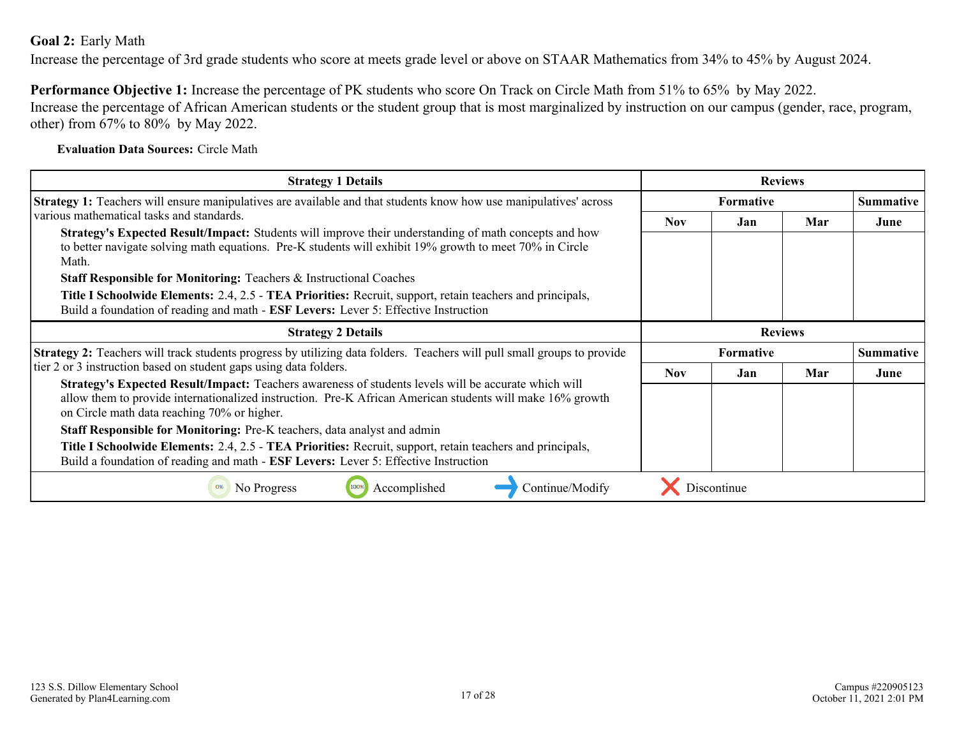#### <span id="page-16-0"></span>**Goal 2:** Early Math

Increase the percentage of 3rd grade students who score at meets grade level or above on STAAR Mathematics from 34% to 45% by August 2024.

**Performance Objective 1:** Increase the percentage of PK students who score On Track on Circle Math from 51% to 65% by May 2022. Increase the percentage of African American students or the student group that is most marginalized by instruction on our campus (gender, race, program, other) from 67% to 80% by May 2022.

#### **Evaluation Data Sources:** Circle Math

| <b>Strategy 1 Details</b>                                                                                                                                                                                                                                        |            |                  | <b>Reviews</b> |                  |  |
|------------------------------------------------------------------------------------------------------------------------------------------------------------------------------------------------------------------------------------------------------------------|------------|------------------|----------------|------------------|--|
| <b>Strategy 1:</b> Teachers will ensure manipulatives are available and that students know how use manipulatives' across                                                                                                                                         |            | <b>Formative</b> |                | <b>Summative</b> |  |
| various mathematical tasks and standards.                                                                                                                                                                                                                        | Nov.       | .Jan             | Mar            | June             |  |
| Strategy's Expected Result/Impact: Students will improve their understanding of math concepts and how<br>to better navigate solving math equations. Pre-K students will exhibit 19% growth to meet 70% in Circle<br>Math.                                        |            |                  |                |                  |  |
| Staff Responsible for Monitoring: Teachers & Instructional Coaches                                                                                                                                                                                               |            |                  |                |                  |  |
| Title I Schoolwide Elements: 2.4, 2.5 - TEA Priorities: Recruit, support, retain teachers and principals,<br>Build a foundation of reading and math - ESF Levers: Lever 5: Effective Instruction                                                                 |            |                  |                |                  |  |
| <b>Strategy 2 Details</b>                                                                                                                                                                                                                                        |            |                  | <b>Reviews</b> |                  |  |
| Strategy 2: Teachers will track students progress by utilizing data folders. Teachers will pull small groups to provide                                                                                                                                          |            | Formative        |                | <b>Summative</b> |  |
| tier 2 or 3 instruction based on student gaps using data folders.                                                                                                                                                                                                | <b>Nov</b> | Jan              | Mar            | June             |  |
| Strategy's Expected Result/Impact: Teachers awareness of students levels will be accurate which will<br>allow them to provide internationalized instruction. Pre-K African American students will make 16% growth<br>on Circle math data reaching 70% or higher. |            |                  |                |                  |  |
| Staff Responsible for Monitoring: Pre-K teachers, data analyst and admin                                                                                                                                                                                         |            |                  |                |                  |  |
| Title I Schoolwide Elements: 2.4, 2.5 - TEA Priorities: Recruit, support, retain teachers and principals,<br>Build a foundation of reading and math - ESF Levers: Lever 5: Effective Instruction                                                                 |            |                  |                |                  |  |
| Accomplished<br>Continue/Modify<br>No Progress<br>0%                                                                                                                                                                                                             |            | Discontinue      |                |                  |  |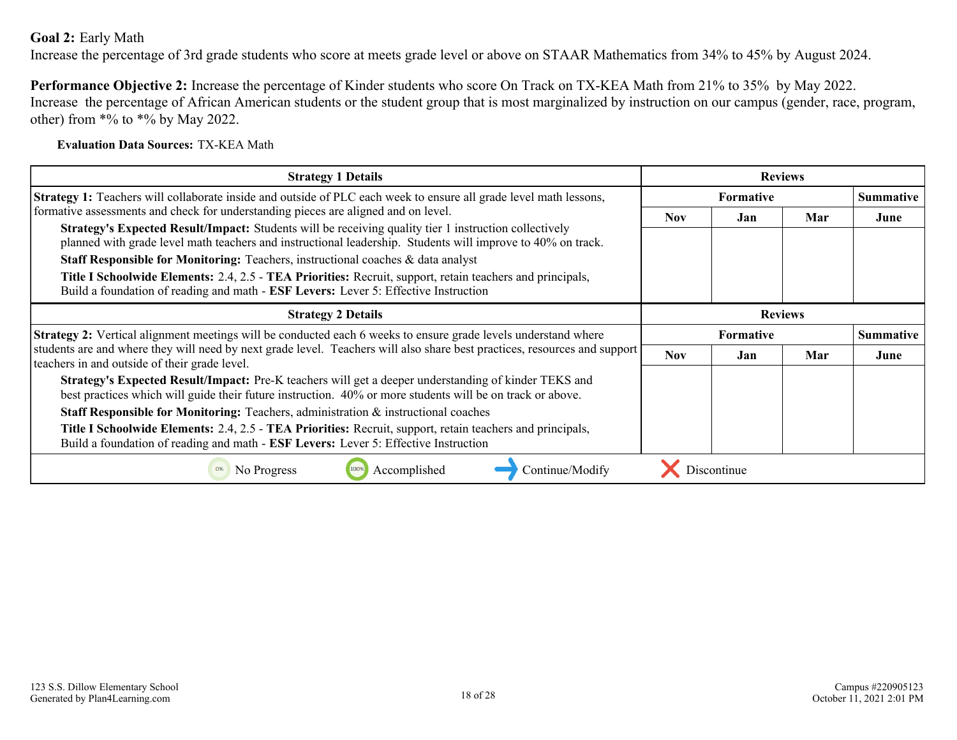#### **Goal 2:** Early Math

Increase the percentage of 3rd grade students who score at meets grade level or above on STAAR Mathematics from 34% to 45% by August 2024.

**Performance Objective 2:** Increase the percentage of Kinder students who score On Track on TX-KEA Math from 21% to 35% by May 2022. Increase the percentage of African American students or the student group that is most marginalized by instruction on our campus (gender, race, program, other) from  $*%$  to  $*%$  by May 2022.

#### **Evaluation Data Sources:** TX-KEA Math

| <b>Strategy 1 Details</b>                                                                                                                                                                                                   |                  |                  | <b>Reviews</b> |                  |
|-----------------------------------------------------------------------------------------------------------------------------------------------------------------------------------------------------------------------------|------------------|------------------|----------------|------------------|
| <b>Strategy 1:</b> Teachers will collaborate inside and outside of PLC each week to ensure all grade level math lessons,                                                                                                    |                  | <b>Formative</b> |                | <b>Summative</b> |
| formative assessments and check for understanding pieces are aligned and on level.                                                                                                                                          | Nov.             | Jan              | Mar            | June             |
| <b>Strategy's Expected Result/Impact:</b> Students will be receiving quality tier 1 instruction collectively<br>planned with grade level math teachers and instructional leadership. Students will improve to 40% on track. |                  |                  |                |                  |
| <b>Staff Responsible for Monitoring:</b> Teachers, instructional coaches & data analyst                                                                                                                                     |                  |                  |                |                  |
| Title I Schoolwide Elements: 2.4, 2.5 - TEA Priorities: Recruit, support, retain teachers and principals,<br>Build a foundation of reading and math - ESF Levers: Lever 5: Effective Instruction                            |                  |                  |                |                  |
| <b>Strategy 2 Details</b>                                                                                                                                                                                                   |                  |                  | <b>Reviews</b> |                  |
| <b>Strategy 2:</b> Vertical alignment meetings will be conducted each 6 weeks to ensure grade levels understand where                                                                                                       | <b>Formative</b> |                  |                | <b>Summative</b> |
| students are and where they will need by next grade level. Teachers will also share best practices, resources and support<br>teachers in and outside of their grade level.                                                  | <b>Nov</b>       | Jan              | Mar            | June             |
| Strategy's Expected Result/Impact: Pre-K teachers will get a deeper understanding of kinder TEKS and<br>best practices which will guide their future instruction. 40% or more students will be on track or above.           |                  |                  |                |                  |
| <b>Staff Responsible for Monitoring:</b> Teachers, administration & instructional coaches                                                                                                                                   |                  |                  |                |                  |
| Title I Schoolwide Elements: 2.4, 2.5 - TEA Priorities: Recruit, support, retain teachers and principals,<br>Build a foundation of reading and math - ESF Levers: Lever 5: Effective Instruction                            |                  |                  |                |                  |
| Accomplished<br>No Progress<br>Continue/Modify                                                                                                                                                                              |                  | Discontinue      |                |                  |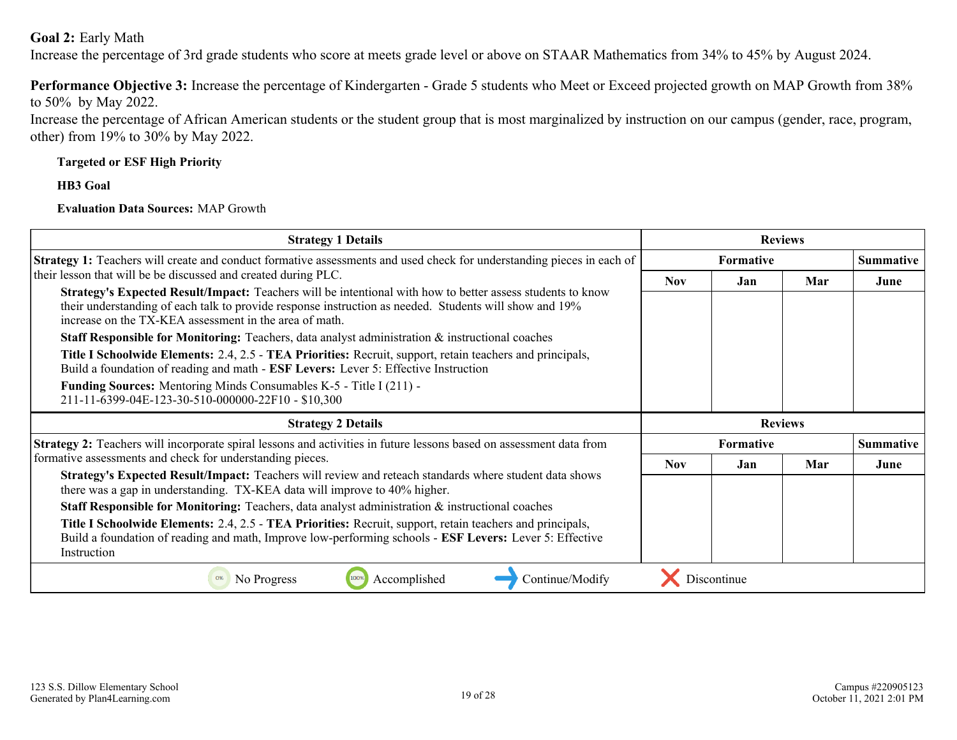#### **Goal 2:** Early Math

Increase the percentage of 3rd grade students who score at meets grade level or above on STAAR Mathematics from 34% to 45% by August 2024.

**Performance Objective 3:** Increase the percentage of Kindergarten - Grade 5 students who Meet or Exceed projected growth on MAP Growth from 38% to 50% by May 2022.

Increase the percentage of African American students or the student group that is most marginalized by instruction on our campus (gender, race, program, other) from 19% to 30% by May 2022.

#### **Targeted or ESF High Priority**

**HB3 Goal**

#### **Evaluation Data Sources:** MAP Growth

| <b>Strategy 1 Details</b>                                                                                                                                                                                                                                                                                                                                                                                                                                                                                                                                                                                                                                                                                                                                                                            |            |           | <b>Reviews</b> |                  |
|------------------------------------------------------------------------------------------------------------------------------------------------------------------------------------------------------------------------------------------------------------------------------------------------------------------------------------------------------------------------------------------------------------------------------------------------------------------------------------------------------------------------------------------------------------------------------------------------------------------------------------------------------------------------------------------------------------------------------------------------------------------------------------------------------|------------|-----------|----------------|------------------|
| <b>Strategy 1:</b> Teachers will create and conduct formative assessments and used check for understanding pieces in each of                                                                                                                                                                                                                                                                                                                                                                                                                                                                                                                                                                                                                                                                         |            | Formative |                | <b>Summative</b> |
| their lesson that will be be discussed and created during PLC.<br>Strategy's Expected Result/Impact: Teachers will be intentional with how to better assess students to know<br>their understanding of each talk to provide response instruction as needed. Students will show and 19%<br>increase on the TX-KEA assessment in the area of math.<br><b>Staff Responsible for Monitoring:</b> Teachers, data analyst administration $\&$ instructional coaches<br>Title I Schoolwide Elements: 2.4, 2.5 - TEA Priorities: Recruit, support, retain teachers and principals,<br>Build a foundation of reading and math - ESF Levers: Lever 5: Effective Instruction<br><b>Funding Sources:</b> Mentoring Minds Consumables K-5 - Title I (211) -<br>211-11-6399-04E-123-30-510-000000-22F10 - \$10,300 | <b>Nov</b> | Jan.      | Mar            | June             |
|                                                                                                                                                                                                                                                                                                                                                                                                                                                                                                                                                                                                                                                                                                                                                                                                      |            |           |                |                  |
| <b>Strategy 2 Details</b>                                                                                                                                                                                                                                                                                                                                                                                                                                                                                                                                                                                                                                                                                                                                                                            |            |           | <b>Reviews</b> |                  |
| <b>Strategy 2:</b> Teachers will incorporate spiral lessons and activities in future lessons based on assessment data from                                                                                                                                                                                                                                                                                                                                                                                                                                                                                                                                                                                                                                                                           |            | Formative |                | <b>Summative</b> |
| formative assessments and check for understanding pieces.                                                                                                                                                                                                                                                                                                                                                                                                                                                                                                                                                                                                                                                                                                                                            | <b>Nov</b> | Jan       | Mar            | June             |
| Strategy's Expected Result/Impact: Teachers will review and reteach standards where student data shows                                                                                                                                                                                                                                                                                                                                                                                                                                                                                                                                                                                                                                                                                               |            |           |                |                  |
| there was a gap in understanding. TX-KEA data will improve to 40% higher.<br><b>Staff Responsible for Monitoring:</b> Teachers, data analyst administration $\&$ instructional coaches                                                                                                                                                                                                                                                                                                                                                                                                                                                                                                                                                                                                               |            |           |                |                  |
| Title I Schoolwide Elements: 2.4, 2.5 - TEA Priorities: Recruit, support, retain teachers and principals,<br>Build a foundation of reading and math, Improve low-performing schools - ESF Levers: Lever 5: Effective<br>Instruction                                                                                                                                                                                                                                                                                                                                                                                                                                                                                                                                                                  |            |           |                |                  |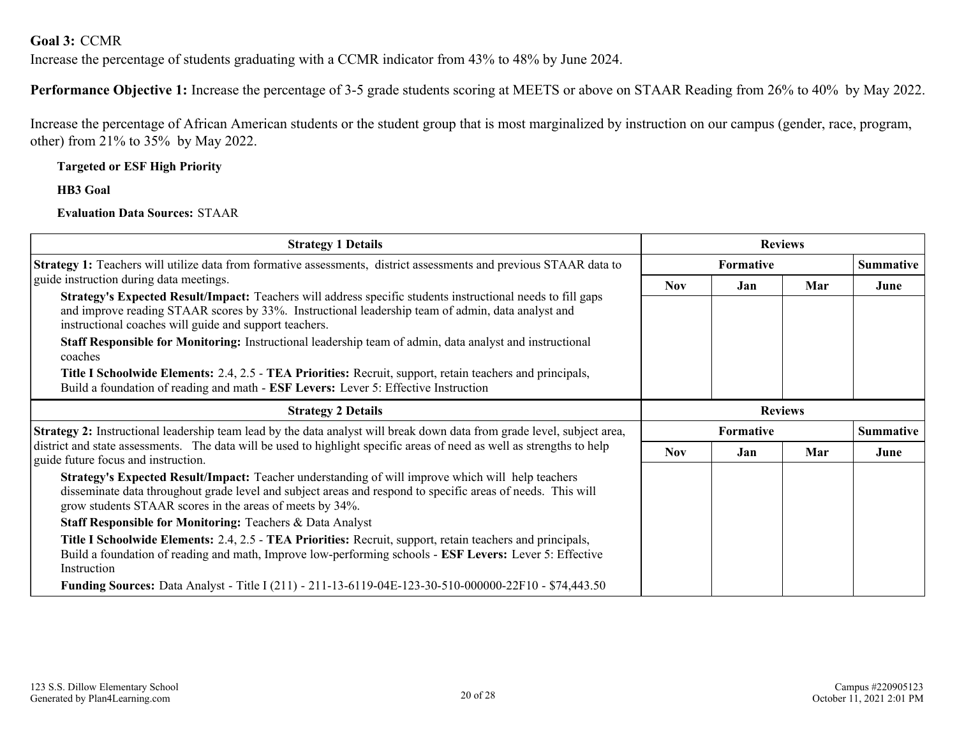<span id="page-19-0"></span>**Goal 3:** CCMR

Increase the percentage of students graduating with a CCMR indicator from 43% to 48% by June 2024.

**Performance Objective 1:** Increase the percentage of 3-5 grade students scoring at MEETS or above on STAAR Reading from 26% to 40% by May 2022.

Increase the percentage of African American students or the student group that is most marginalized by instruction on our campus (gender, race, program, other) from 21% to 35% by May 2022.

#### **Targeted or ESF High Priority**

**HB3 Goal**

#### **Evaluation Data Sources:** STAAR

| <b>Strategy 1 Details</b>                                                                                                                                                                                                                                                                                                                                                                                                                                                                                                                                                                                                                        |                  |           | <b>Reviews</b>   |      |
|--------------------------------------------------------------------------------------------------------------------------------------------------------------------------------------------------------------------------------------------------------------------------------------------------------------------------------------------------------------------------------------------------------------------------------------------------------------------------------------------------------------------------------------------------------------------------------------------------------------------------------------------------|------------------|-----------|------------------|------|
| Strategy 1: Teachers will utilize data from formative assessments, district assessments and previous STAAR data to                                                                                                                                                                                                                                                                                                                                                                                                                                                                                                                               | <b>Formative</b> |           | <b>Summative</b> |      |
| guide instruction during data meetings.<br>Strategy's Expected Result/Impact: Teachers will address specific students instructional needs to fill gaps<br>and improve reading STAAR scores by 33%. Instructional leadership team of admin, data analyst and<br>instructional coaches will guide and support teachers.<br>Staff Responsible for Monitoring: Instructional leadership team of admin, data analyst and instructional<br>coaches<br>Title I Schoolwide Elements: 2.4, 2.5 - TEA Priorities: Recruit, support, retain teachers and principals,<br>Build a foundation of reading and math - ESF Levers: Lever 5: Effective Instruction | <b>Nov</b>       | Jan       | Mar              | June |
| <b>Strategy 2 Details</b>                                                                                                                                                                                                                                                                                                                                                                                                                                                                                                                                                                                                                        | <b>Reviews</b>   |           |                  |      |
| <b>Strategy 2:</b> Instructional leadership team lead by the data analyst will break down data from grade level, subject area,<br>district and state assessments. The data will be used to highlight specific areas of need as well as strengths to help<br>guide future focus and instruction.                                                                                                                                                                                                                                                                                                                                                  |                  | Formative |                  |      |
|                                                                                                                                                                                                                                                                                                                                                                                                                                                                                                                                                                                                                                                  |                  | Jan       | Mar              | June |
| Strategy's Expected Result/Impact: Teacher understanding of will improve which will help teachers<br>disseminate data throughout grade level and subject areas and respond to specific areas of needs. This will<br>grow students STAAR scores in the areas of meets by 34%.                                                                                                                                                                                                                                                                                                                                                                     |                  |           |                  |      |
| <b>Staff Responsible for Monitoring: Teachers &amp; Data Analyst</b>                                                                                                                                                                                                                                                                                                                                                                                                                                                                                                                                                                             |                  |           |                  |      |
| Title I Schoolwide Elements: 2.4, 2.5 - TEA Priorities: Recruit, support, retain teachers and principals,<br>Build a foundation of reading and math, Improve low-performing schools - ESF Levers: Lever 5: Effective<br>Instruction                                                                                                                                                                                                                                                                                                                                                                                                              |                  |           |                  |      |
| Funding Sources: Data Analyst - Title I (211) - 211-13-6119-04E-123-30-510-000000-22F10 - \$74,443.50                                                                                                                                                                                                                                                                                                                                                                                                                                                                                                                                            |                  |           |                  |      |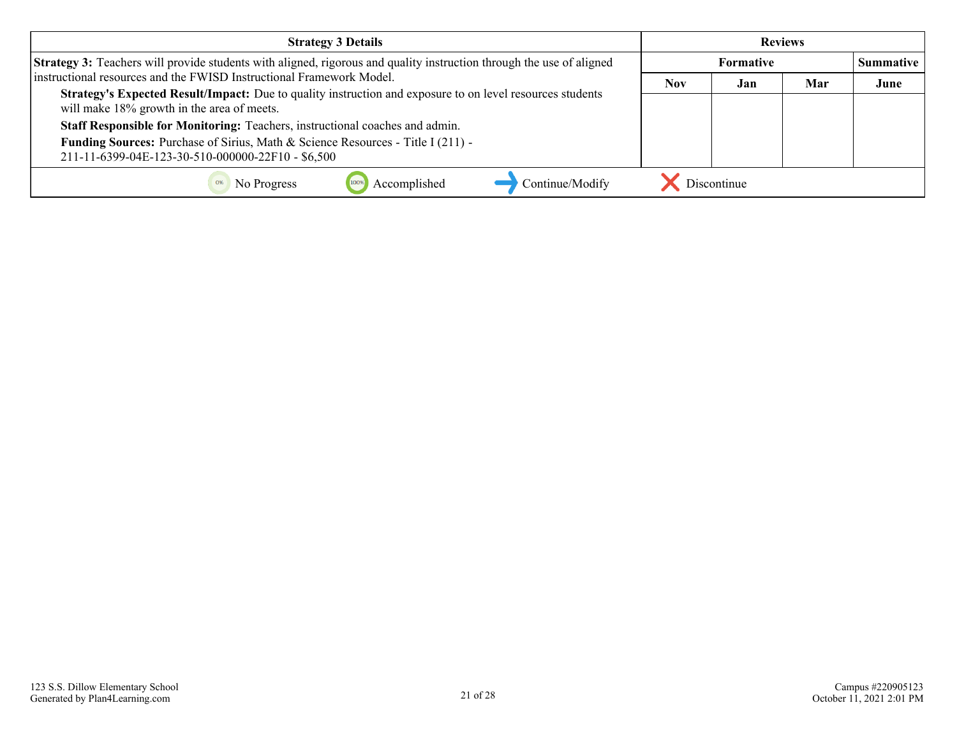| <b>Strategy 3 Details</b>                                                                                                                               | <b>Reviews</b> |             |     |                  |
|---------------------------------------------------------------------------------------------------------------------------------------------------------|----------------|-------------|-----|------------------|
| <b>Strategy 3:</b> Teachers will provide students with aligned, rigorous and quality instruction through the use of aligned                             | Formative      |             |     | <b>Summative</b> |
| instructional resources and the FWISD Instructional Framework Model.                                                                                    |                | Jan         | Mar | June             |
| Strategy's Expected Result/Impact: Due to quality instruction and exposure to on level resources students<br>will make 18% growth in the area of meets. | <b>Nov</b>     |             |     |                  |
| Staff Responsible for Monitoring: Teachers, instructional coaches and admin.                                                                            |                |             |     |                  |
| <b>Funding Sources:</b> Purchase of Sirius, Math & Science Resources - Title I (211) -<br>211-11-6399-04E-123-30-510-000000-22F10 - \$6,500             |                |             |     |                  |
| Accomplished<br>Continue/Modify<br>No Progress                                                                                                          |                | Discontinue |     |                  |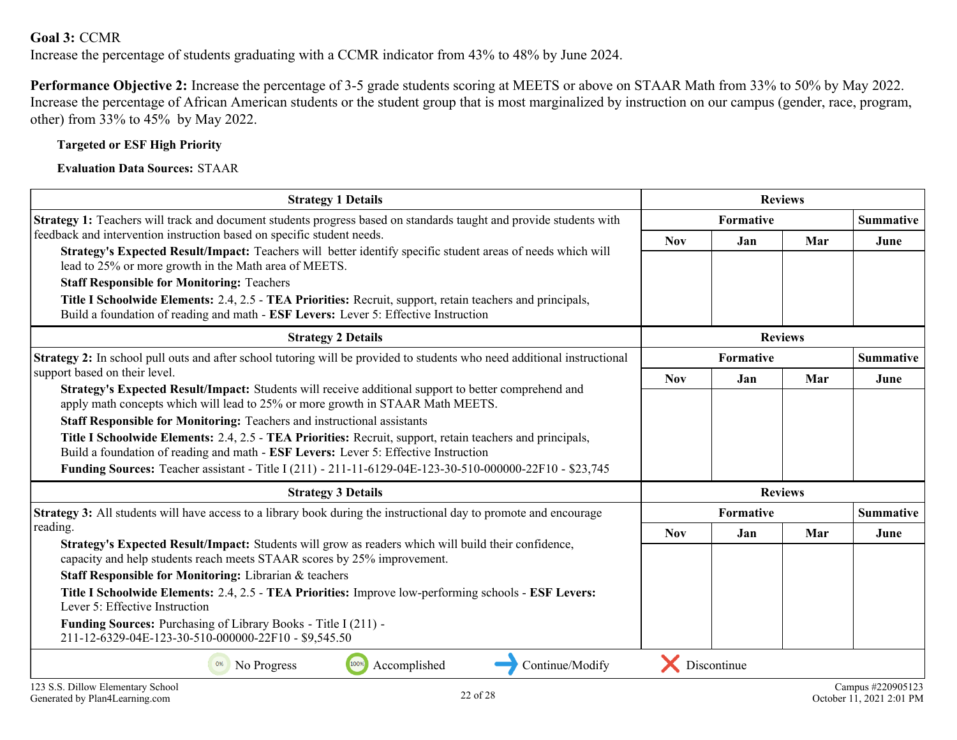#### **Goal 3:** CCMR

Increase the percentage of students graduating with a CCMR indicator from 43% to 48% by June 2024.

**Performance Objective 2:** Increase the percentage of 3-5 grade students scoring at MEETS or above on STAAR Math from 33% to 50% by May 2022. Increase the percentage of African American students or the student group that is most marginalized by instruction on our campus (gender, race, program, other) from 33% to 45% by May 2022.

#### **Targeted or ESF High Priority**

**Evaluation Data Sources:** STAAR

| <b>Strategy 1 Details</b>                                                                                                                                                                        | <b>Reviews</b> |             |                |                  |
|--------------------------------------------------------------------------------------------------------------------------------------------------------------------------------------------------|----------------|-------------|----------------|------------------|
| Strategy 1: Teachers will track and document students progress based on standards taught and provide students with                                                                               | Formative      |             |                | <b>Summative</b> |
| feedback and intervention instruction based on specific student needs.                                                                                                                           |                | Jan         | Mar            | June             |
| Strategy's Expected Result/Impact: Teachers will better identify specific student areas of needs which will<br>lead to 25% or more growth in the Math area of MEETS.                             |                |             |                |                  |
| <b>Staff Responsible for Monitoring: Teachers</b>                                                                                                                                                |                |             |                |                  |
| Title I Schoolwide Elements: 2.4, 2.5 - TEA Priorities: Recruit, support, retain teachers and principals,<br>Build a foundation of reading and math - ESF Levers: Lever 5: Effective Instruction |                |             |                |                  |
| <b>Strategy 2 Details</b>                                                                                                                                                                        |                |             | <b>Reviews</b> |                  |
| <b>Strategy 2:</b> In school pull outs and after school tutoring will be provided to students who need additional instructional                                                                  | Formative      |             |                | <b>Summative</b> |
| support based on their level.                                                                                                                                                                    |                | <b>Jan</b>  | Mar            | June             |
| Strategy's Expected Result/Impact: Students will receive additional support to better comprehend and<br>apply math concepts which will lead to 25% or more growth in STAAR Math MEETS.           |                |             |                |                  |
| <b>Staff Responsible for Monitoring: Teachers and instructional assistants</b>                                                                                                                   |                |             |                |                  |
| Title I Schoolwide Elements: 2.4, 2.5 - TEA Priorities: Recruit, support, retain teachers and principals,                                                                                        |                |             |                |                  |
| Build a foundation of reading and math - ESF Levers: Lever 5: Effective Instruction                                                                                                              |                |             |                |                  |
| <b>Funding Sources:</b> Teacher assistant - Title I (211) - 211-11-6129-04E-123-30-510-000000-22F10 - \$23,745                                                                                   |                |             |                |                  |
| <b>Strategy 3 Details</b>                                                                                                                                                                        |                |             | <b>Reviews</b> |                  |
| <b>Strategy 3:</b> All students will have access to a library book during the instructional day to promote and encourage                                                                         | Formative      |             |                | <b>Summative</b> |
| reading.                                                                                                                                                                                         | <b>Nov</b>     | Jan         | Mar            | June             |
| Strategy's Expected Result/Impact: Students will grow as readers which will build their confidence,<br>capacity and help students reach meets STAAR scores by 25% improvement.                   |                |             |                |                  |
|                                                                                                                                                                                                  |                |             |                |                  |
| Staff Responsible for Monitoring: Librarian & teachers                                                                                                                                           |                |             |                |                  |
| Title I Schoolwide Elements: 2.4, 2.5 - TEA Priorities: Improve low-performing schools - ESF Levers:<br>Lever 5: Effective Instruction                                                           |                |             |                |                  |
| <b>Funding Sources:</b> Purchasing of Library Books - Title I (211) -<br>211-12-6329-04E-123-30-510-000000-22F10 - \$9,545.50                                                                    |                |             |                |                  |
| Accomplished<br>Continue/Modify<br>No Progress                                                                                                                                                   |                | Discontinue |                |                  |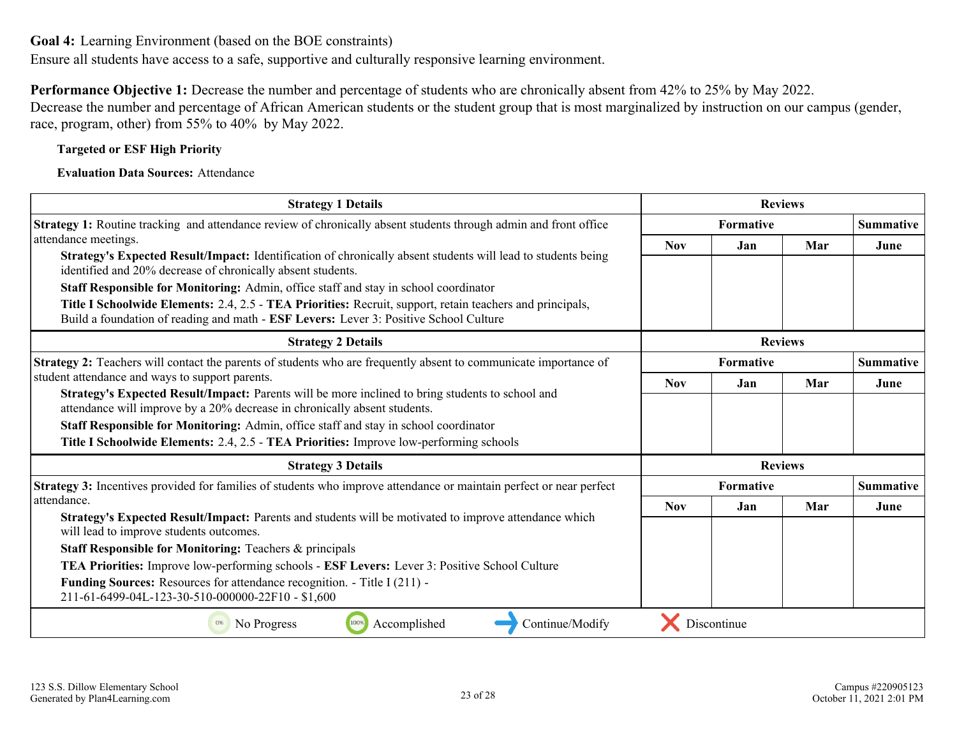<span id="page-22-0"></span>Ensure all students have access to a safe, supportive and culturally responsive learning environment.

**Performance Objective 1:** Decrease the number and percentage of students who are chronically absent from 42% to 25% by May 2022.

Decrease the number and percentage of African American students or the student group that is most marginalized by instruction on our campus (gender, race, program, other) from 55% to 40% by May 2022.

#### **Targeted or ESF High Priority**

#### **Evaluation Data Sources:** Attendance

| <b>Strategy 1 Details</b>                                                                                                                                                                          | <b>Reviews</b>   |                |     |                  |
|----------------------------------------------------------------------------------------------------------------------------------------------------------------------------------------------------|------------------|----------------|-----|------------------|
| Strategy 1: Routine tracking and attendance review of chronically absent students through admin and front office                                                                                   | <b>Formative</b> |                |     | <b>Summative</b> |
| attendance meetings.                                                                                                                                                                               | <b>Nov</b>       | Jan            | Mar | June             |
| Strategy's Expected Result/Impact: Identification of chronically absent students will lead to students being<br>identified and 20% decrease of chronically absent students.                        |                  |                |     |                  |
| Staff Responsible for Monitoring: Admin, office staff and stay in school coordinator                                                                                                               |                  |                |     |                  |
| Title I Schoolwide Elements: 2.4, 2.5 - TEA Priorities: Recruit, support, retain teachers and principals,<br>Build a foundation of reading and math - ESF Levers: Lever 3: Positive School Culture |                  |                |     |                  |
| <b>Strategy 2 Details</b>                                                                                                                                                                          |                  | <b>Reviews</b> |     |                  |
| Strategy 2: Teachers will contact the parents of students who are frequently absent to communicate importance of                                                                                   | <b>Formative</b> |                |     | <b>Summative</b> |
| student attendance and ways to support parents.                                                                                                                                                    |                  | Jan            | Mar | June             |
| Strategy's Expected Result/Impact: Parents will be more inclined to bring students to school and<br>attendance will improve by a 20% decrease in chronically absent students.                      |                  |                |     |                  |
| Staff Responsible for Monitoring: Admin, office staff and stay in school coordinator                                                                                                               |                  |                |     |                  |
| Title I Schoolwide Elements: 2.4, 2.5 - TEA Priorities: Improve low-performing schools                                                                                                             |                  |                |     |                  |
| <b>Strategy 3 Details</b>                                                                                                                                                                          |                  | <b>Reviews</b> |     |                  |
| Strategy 3: Incentives provided for families of students who improve attendance or maintain perfect or near perfect                                                                                | <b>Formative</b> |                |     | <b>Summative</b> |
| attendance.                                                                                                                                                                                        | <b>Nov</b>       | Jan            | Mar | June             |
| Strategy's Expected Result/Impact: Parents and students will be motivated to improve attendance which<br>will lead to improve students outcomes.                                                   |                  |                |     |                  |
| <b>Staff Responsible for Monitoring: Teachers &amp; principals</b>                                                                                                                                 |                  |                |     |                  |
| TEA Priorities: Improve low-performing schools - ESF Levers: Lever 3: Positive School Culture                                                                                                      |                  |                |     |                  |
| <b>Funding Sources:</b> Resources for attendance recognition. - Title I (211) -<br>211-61-6499-04L-123-30-510-000000-22F10 - \$1,600                                                               |                  |                |     |                  |
| Continue/Modify<br>Accomplished<br>0%<br>No Progress<br>100%                                                                                                                                       |                  | Discontinue    |     |                  |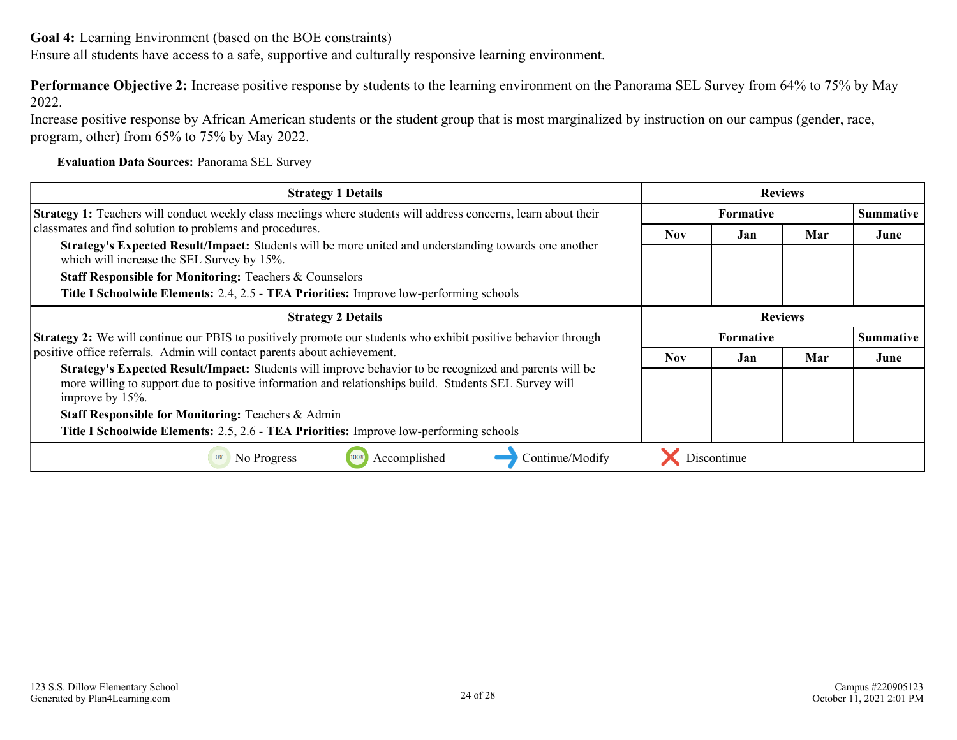Ensure all students have access to a safe, supportive and culturally responsive learning environment.

**Performance Objective 2:** Increase positive response by students to the learning environment on the Panorama SEL Survey from 64% to 75% by May 2022.

Increase positive response by African American students or the student group that is most marginalized by instruction on our campus (gender, race, program, other) from 65% to 75% by May 2022.

**Evaluation Data Sources:** Panorama SEL Survey

| <b>Strategy 1 Details</b>                                                                                                                                                                                                          |                  |                                      | <b>Reviews</b>   |      |  |  |
|------------------------------------------------------------------------------------------------------------------------------------------------------------------------------------------------------------------------------------|------------------|--------------------------------------|------------------|------|--|--|
| <b>Strategy 1:</b> Teachers will conduct weekly class meetings where students will address concerns, learn about their                                                                                                             | <b>Formative</b> |                                      | <b>Summative</b> |      |  |  |
| classmates and find solution to problems and procedures.<br>Strategy's Expected Result/Impact: Students will be more united and understanding towards one another<br>which will increase the SEL Survey by 15%.                    |                  | Jan                                  | Mar              | June |  |  |
|                                                                                                                                                                                                                                    |                  |                                      |                  |      |  |  |
| <b>Staff Responsible for Monitoring: Teachers &amp; Counselors</b>                                                                                                                                                                 |                  |                                      |                  |      |  |  |
| Title I Schoolwide Elements: 2.4, 2.5 - TEA Priorities: Improve low-performing schools                                                                                                                                             |                  |                                      |                  |      |  |  |
| <b>Strategy 2 Details</b>                                                                                                                                                                                                          |                  |                                      | <b>Reviews</b>   |      |  |  |
| <b>Strategy 2:</b> We will continue our PBIS to positively promote our students who exhibit positive behavior through                                                                                                              |                  | <b>Formative</b><br><b>Summative</b> |                  |      |  |  |
| positive office referrals. Admin will contact parents about achievement.                                                                                                                                                           |                  | Jan                                  | Mar              | June |  |  |
| Strategy's Expected Result/Impact: Students will improve behavior to be recognized and parents will be<br>more willing to support due to positive information and relationships build. Students SEL Survey will<br>improve by 15%. |                  |                                      |                  |      |  |  |
| <b>Staff Responsible for Monitoring: Teachers &amp; Admin</b>                                                                                                                                                                      |                  |                                      |                  |      |  |  |
| Title I Schoolwide Elements: 2.5, 2.6 - TEA Priorities: Improve low-performing schools                                                                                                                                             |                  |                                      |                  |      |  |  |
| Accomplished<br>No Progress<br>Continue/Modify                                                                                                                                                                                     |                  | Discontinue                          |                  |      |  |  |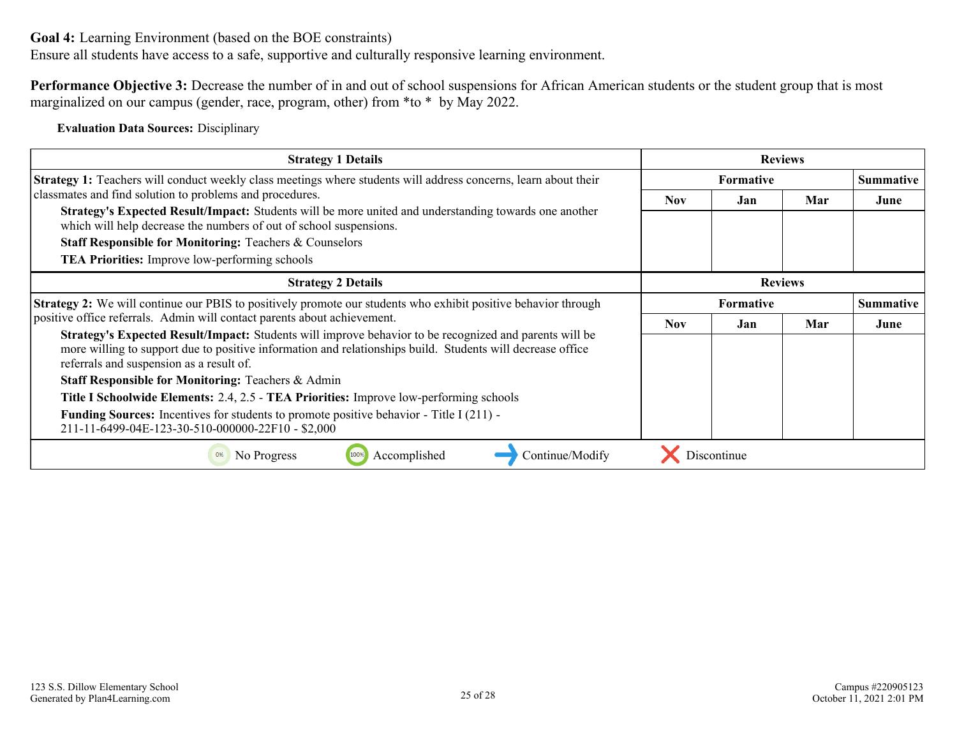Ensure all students have access to a safe, supportive and culturally responsive learning environment.

**Performance Objective 3:** Decrease the number of in and out of school suspensions for African American students or the student group that is most marginalized on our campus (gender, race, program, other) from \*to \* by May 2022.

**Evaluation Data Sources:** Disciplinary

| <b>Strategy 1 Details</b>                                                                                                                                                                                                                                        |            |                  | <b>Reviews</b> |                  |  |  |
|------------------------------------------------------------------------------------------------------------------------------------------------------------------------------------------------------------------------------------------------------------------|------------|------------------|----------------|------------------|--|--|
| Strategy 1: Teachers will conduct weekly class meetings where students will address concerns, learn about their                                                                                                                                                  |            | <b>Formative</b> |                | <b>Summative</b> |  |  |
| classmates and find solution to problems and procedures.<br>Strategy's Expected Result/Impact: Students will be more united and understanding towards one another<br>which will help decrease the numbers of out of school suspensions.                          |            | Jan              | Mar            | June             |  |  |
|                                                                                                                                                                                                                                                                  |            |                  |                |                  |  |  |
| <b>Staff Responsible for Monitoring: Teachers &amp; Counselors</b>                                                                                                                                                                                               |            |                  |                |                  |  |  |
| <b>TEA Priorities:</b> Improve low-performing schools                                                                                                                                                                                                            |            |                  |                |                  |  |  |
| <b>Strategy 2 Details</b>                                                                                                                                                                                                                                        |            |                  | <b>Reviews</b> |                  |  |  |
| Strategy 2: We will continue our PBIS to positively promote our students who exhibit positive behavior through                                                                                                                                                   |            | <b>Formative</b> |                | <b>Summative</b> |  |  |
| positive office referrals. Admin will contact parents about achievement.                                                                                                                                                                                         | <b>Nov</b> | Jan              | Mar            | June             |  |  |
| Strategy's Expected Result/Impact: Students will improve behavior to be recognized and parents will be<br>more willing to support due to positive information and relationships build. Students will decrease office<br>referrals and suspension as a result of. |            |                  |                |                  |  |  |
| <b>Staff Responsible for Monitoring: Teachers &amp; Admin</b>                                                                                                                                                                                                    |            |                  |                |                  |  |  |
| Title I Schoolwide Elements: 2.4, 2.5 - TEA Priorities: Improve low-performing schools                                                                                                                                                                           |            |                  |                |                  |  |  |
| <b>Funding Sources:</b> Incentives for students to promote positive behavior - Title I (211) -<br>211-11-6499-04E-123-30-510-000000-22F10 - \$2,000                                                                                                              |            |                  |                |                  |  |  |
| Accomplished<br>Continue/Modify<br>No Progress                                                                                                                                                                                                                   |            | Discontinue      |                |                  |  |  |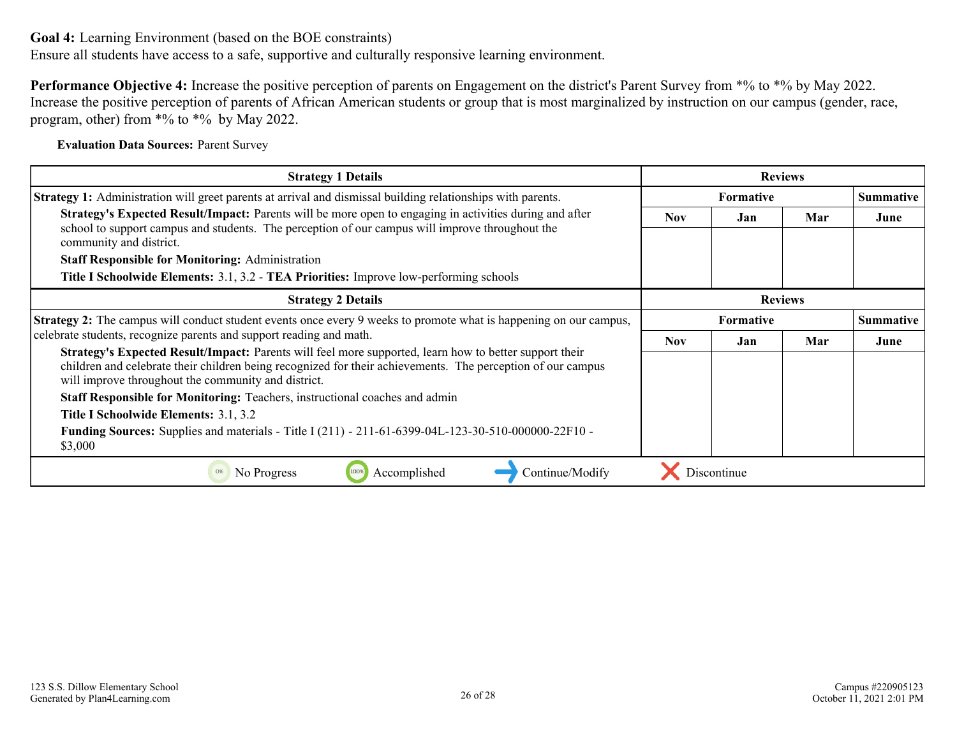Ensure all students have access to a safe, supportive and culturally responsive learning environment.

**Performance Objective 4:** Increase the positive perception of parents on Engagement on the district's Parent Survey from  $*%$  to  $*%$  by May 2022. Increase the positive perception of parents of African American students or group that is most marginalized by instruction on our campus (gender, race, program, other) from \*% to \*% by May 2022.

**Evaluation Data Sources:** Parent Survey

| <b>Strategy 1 Details</b>                                                                                                                                                                                                                                                                                                                                                                                                                                                                                   |                  |             | <b>Reviews</b> |                  |  |
|-------------------------------------------------------------------------------------------------------------------------------------------------------------------------------------------------------------------------------------------------------------------------------------------------------------------------------------------------------------------------------------------------------------------------------------------------------------------------------------------------------------|------------------|-------------|----------------|------------------|--|
| <b>Strategy 1:</b> Administration will greet parents at arrival and dismissal building relationships with parents.                                                                                                                                                                                                                                                                                                                                                                                          | <b>Formative</b> |             |                | <b>Summative</b> |  |
| Strategy's Expected Result/Impact: Parents will be more open to engaging in activities during and after<br>school to support campus and students. The perception of our campus will improve throughout the<br>community and district.                                                                                                                                                                                                                                                                       | <b>Nov</b>       | Jan         | Mar            | June             |  |
| <b>Staff Responsible for Monitoring: Administration</b>                                                                                                                                                                                                                                                                                                                                                                                                                                                     |                  |             |                |                  |  |
| Title I Schoolwide Elements: 3.1, 3.2 - TEA Priorities: Improve low-performing schools                                                                                                                                                                                                                                                                                                                                                                                                                      |                  |             |                |                  |  |
| <b>Strategy 2 Details</b>                                                                                                                                                                                                                                                                                                                                                                                                                                                                                   |                  |             | <b>Reviews</b> |                  |  |
| <b>Strategy 2:</b> The campus will conduct student events once every 9 weeks to promote what is happening on our campus,                                                                                                                                                                                                                                                                                                                                                                                    |                  | Formative   |                | <b>Summative</b> |  |
| celebrate students, recognize parents and support reading and math.                                                                                                                                                                                                                                                                                                                                                                                                                                         | Nov.             | Jan         | Mar            | June             |  |
| Strategy's Expected Result/Impact: Parents will feel more supported, learn how to better support their<br>children and celebrate their children being recognized for their achievements. The perception of our campus<br>will improve throughout the community and district.<br>Staff Responsible for Monitoring: Teachers, instructional coaches and admin<br>Title I Schoolwide Elements: 3.1, 3.2<br>Funding Sources: Supplies and materials - Title I (211) - 211-61-6399-04L-123-30-510-000000-22F10 - |                  |             |                |                  |  |
| \$3,000                                                                                                                                                                                                                                                                                                                                                                                                                                                                                                     |                  |             |                |                  |  |
| Accomplished<br>No Progress<br>Continue/Modify<br>0%                                                                                                                                                                                                                                                                                                                                                                                                                                                        |                  | Discontinue |                |                  |  |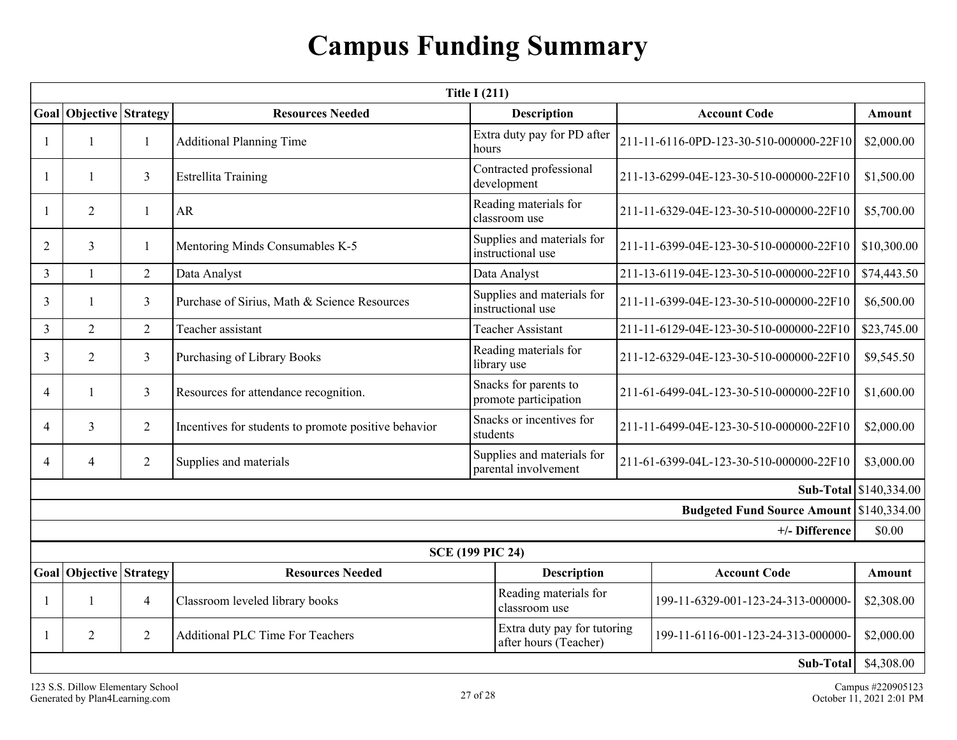# **Campus Funding Summary**

<span id="page-26-0"></span>

| <b>Title I (211)</b> |                           |                |                                                      |                                                      |  |                                                        |                        |  |
|----------------------|---------------------------|----------------|------------------------------------------------------|------------------------------------------------------|--|--------------------------------------------------------|------------------------|--|
| Goal                 | <b>Objective Strategy</b> |                | <b>Resources Needed</b>                              | <b>Description</b>                                   |  | <b>Account Code</b>                                    | Amount                 |  |
|                      | $\mathbf{1}$              | 1              | <b>Additional Planning Time</b>                      | Extra duty pay for PD after<br>hours                 |  | 211-11-6116-0PD-123-30-510-000000-22F10                |                        |  |
|                      | $\mathbf{1}$              | $\mathfrak{Z}$ | <b>Estrellita Training</b>                           | Contracted professional<br>development               |  | 211-13-6299-04E-123-30-510-000000-22F10                | \$1,500.00             |  |
|                      | $\overline{2}$            | 1              | <b>AR</b>                                            | Reading materials for<br>classroom use               |  | 211-11-6329-04E-123-30-510-000000-22F10                |                        |  |
| $\overline{2}$       | $\overline{3}$            | $\mathbf{1}$   | Mentoring Minds Consumables K-5                      | Supplies and materials for<br>instructional use      |  | 211-11-6399-04E-123-30-510-000000-22F10<br>\$10,300.00 |                        |  |
| 3                    | $\mathbf{1}$              | $\overline{2}$ | Data Analyst                                         | Data Analyst                                         |  | 211-13-6119-04E-123-30-510-000000-22F10                | \$74,443.50            |  |
| 3                    |                           | $\mathfrak{Z}$ | Purchase of Sirius, Math & Science Resources         | Supplies and materials for<br>instructional use      |  | 211-11-6399-04E-123-30-510-000000-22F10                |                        |  |
| 3                    | $\overline{2}$            | $\overline{2}$ | Teacher assistant                                    | <b>Teacher Assistant</b>                             |  | 211-11-6129-04E-123-30-510-000000-22F10                | \$23,745.00            |  |
| 3                    | $\overline{2}$            | $\mathfrak{Z}$ | Purchasing of Library Books                          | Reading materials for<br>library use                 |  | 211-12-6329-04E-123-30-510-000000-22F10                |                        |  |
| $\overline{4}$       |                           | $\overline{3}$ | Resources for attendance recognition.                | Snacks for parents to<br>promote participation       |  | 211-61-6499-04L-123-30-510-000000-22F10                |                        |  |
| $\overline{4}$       | $\overline{3}$            | $\overline{2}$ | Incentives for students to promote positive behavior | Snacks or incentives for<br>students                 |  | 211-11-6499-04E-123-30-510-000000-22F10                |                        |  |
| $\overline{4}$       | 4                         | $\overline{2}$ | Supplies and materials                               | Supplies and materials for<br>parental involvement   |  | 211-61-6399-04L-123-30-510-000000-22F10                | \$3,000.00             |  |
|                      |                           |                |                                                      |                                                      |  |                                                        | Sub-Total \$140,334.00 |  |
|                      |                           |                |                                                      |                                                      |  | Budgeted Fund Source Amount \$140,334.00               |                        |  |
|                      |                           |                |                                                      |                                                      |  | +/- Difference                                         | \$0.00                 |  |
|                      |                           |                |                                                      | <b>SCE (199 PIC 24)</b>                              |  |                                                        |                        |  |
|                      | Goal Objective Strategy   |                | <b>Resources Needed</b>                              | <b>Description</b>                                   |  | <b>Account Code</b>                                    | <b>Amount</b>          |  |
|                      | $\mathbf{1}$              | $\overline{4}$ | Classroom leveled library books                      | Reading materials for<br>classroom use               |  | 199-11-6329-001-123-24-313-000000-                     | \$2,308.00             |  |
|                      | $\overline{2}$            | $\overline{2}$ | <b>Additional PLC Time For Teachers</b>              | Extra duty pay for tutoring<br>after hours (Teacher) |  | 199-11-6116-001-123-24-313-000000-                     | \$2,000.00             |  |
|                      |                           |                |                                                      |                                                      |  | Sub-Total                                              | \$4,308.00             |  |